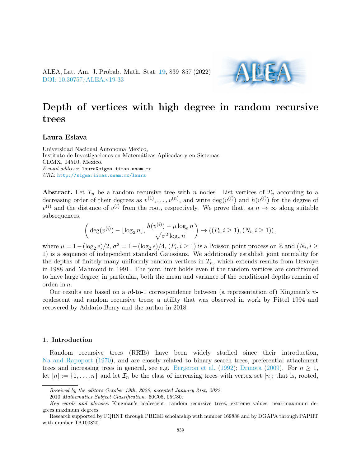ALEA, Lat. Am. J. Probab. Math. Stat. [19](http://alea.impa.br/english/index_v19.htm), 839–857 (2022) [DOI: 10.30757/ALEA.v19-33](https://doi.org/10.30757/ALEA.v19-33)



# Depth of vertices with high degree in random recursive trees

## Laura Eslava

Universidad Nacional Autonoma Mexico, Instituto de Investigaciones en Matemáticas Aplicadas y en Sistemas CDMX, 04510, Mexico. E-mail address: laura@sigma.iimas.unam.mx URL: <http://sigma.iimas.unam.mx/laura>

Abstract. Let  $T_n$  be a random recursive tree with n nodes. List vertices of  $T_n$  according to a decreasing order of their degrees as  $v^{(1)}, \ldots, v^{(n)}$ , and write  $\deg(v^{(i)})$  and  $h(v^{(i)})$  for the degree of  $v^{(i)}$  and the distance of  $v^{(i)}$  from the root, respectively. We prove that, as  $n \to \infty$  along suitable subsequences,

$$
\left(\deg(v^{(i)}) - \lfloor \log_2 n \rfloor, \frac{h(v^{(i)}) - \mu \log_e n}{\sqrt{\sigma^2 \log_e n}}\right) \to \left((P_i, i \ge 1), (N_i, i \ge 1)\right),
$$

where  $\mu = 1 - (\log_2 e)/2$ ,  $\sigma^2 = 1 - (\log_2 e)/4$ ,  $(P_i, i \ge 1)$  is a Poisson point process on Z and  $(N_i, i \ge 1)$ 1) is a sequence of independent standard Gaussians. We additionally establish joint normality for the depths of finitely many uniformly random vertices in  $T_n$ , which extends results from Devroye in 1988 and Mahmoud in 1991. The joint limit holds even if the random vertices are conditioned to have large degree; in particular, both the mean and variance of the conditional depths remain of orden ln n.

Our results are based on a n!-to-1 correspondence between (a representation of) Kingman's  $n$ coalescent and random recursive trees; a utility that was observed in work by Pittel 1994 and recovered by Addario-Berry and the author in 2018.

# 1. Introduction

Random recursive trees (RRTs) have been widely studied since their introduction, [Na and Rapoport](#page-18-0) [\(1970\)](#page-18-0), and are closely related to binary search trees, preferential attachment trees and increasing trees in general, see e.g. [Bergeron et al.](#page-17-0) [\(1992\)](#page-17-0); [Drmota](#page-18-1) [\(2009\)](#page-18-1). For  $n \geq 1$ , let  $[n] := \{1, \ldots, n\}$  and let  $\mathcal{I}_n$  be the class of increasing trees with vertex set  $[n]$ ; that is, rooted,

Received by the editors October 19th, 2020; accepted January 21st, 2022.

<sup>2010</sup> Mathematics Subject Classification. 60C05, 05C80.

Key words and phrases. Kingman's coalescent, random recursive trees, extreme values, near-maximum degrees,maximum degrees.

Research supported by FQRNT through PBEEE scholarship with number 169888 and by DGAPA through PAPIIT with number TA100820.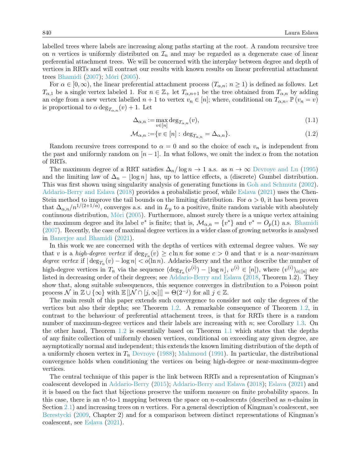labelled trees where labels are increasing along paths starting at the root. A random recursive tree on *n* vertices is uniformly distributed on  $\mathcal{I}_n$  and may be regarded as a degenerate case of linear preferential attachment trees. We will be concerned with the interplay between degree and depth of vertices in RRTs and will contrast our results with known results on linear preferential attachment trees [Bhamidi](#page-17-1) [\(2007\)](#page-17-1); [Móri](#page-18-2) [\(2005\)](#page-18-2).

For  $\alpha \in [0,\infty)$ , the linear preferential attachment process  $(T_{\alpha,n}; n \geq 1)$  is defined as follows. Let  $T_{\alpha,1}$  be a single vertex labeled 1. For  $n \in \mathbb{Z}_+$  let  $T_{\alpha,n+1}$  be the tree obtained from  $T_{\alpha,n}$  by adding an edge from a new vertex labelled  $n + 1$  to vertex  $v_n \in [n]$ ; where, conditional on  $T_{\alpha,n}$ ,  $\mathbb{P}(v_n = v)$ is proportional to  $\alpha \deg_{T_{\alpha,n}}(v) + 1$ . Let

<span id="page-1-0"></span>
$$
\Delta_{\alpha,n} := \max_{v \in [n]} \deg_{T_{\alpha,n}}(v),\tag{1.1}
$$

$$
\mathcal{M}_{\alpha,n} := \{ v \in [n] : \deg_{T_{\alpha,n}} = \Delta_{\alpha,n} \}. \tag{1.2}
$$

Random recursive trees correspond to  $\alpha = 0$  and so the choice of each  $v_n$  is independent from the past and uniformly random on  $[n-1]$ . In what follows, we omit the index  $\alpha$  from the notation of RRTs.

The maximum degree of a RRT satisfies  $\Delta_n/\log n \to 1$  a.s. as  $n \to \infty$  [Devroye and Lu](#page-18-3) [\(1995\)](#page-18-3) and the limiting law of  $\Delta_n - \lfloor \log n \rfloor$  has, up to lattice effects, a (discrete) Gumbel distribution. This was first shown using singularity analysis of generating functions in [Goh and Schmutz](#page-18-4) [\(2002\)](#page-18-4). [Addario-Berry and Eslava](#page-17-2) [\(2018\)](#page-17-2) provides a probabilistic proof, while [Eslava](#page-18-5) [\(2021\)](#page-18-5) uses the Chen-Stein method to improve the tail bounds on the limiting distribution. For  $\alpha > 0$ , it has been proven that  $\Delta_{\alpha,n}/n^{1/(2+1/\alpha)}$ , converges a.s. and in  $L_p$  to a positive, finite random variable with absolutely continuous distribution, [Móri](#page-18-2) [\(2005\)](#page-18-2). Furthermore, almost surely there is a unique vertex attaining the maximum degree and its label  $v^*$  is finite; that is,  $\mathcal{M}_{\alpha,n} = \{v^*\}\$  and  $v^* = O_p(1)$  a.s. [Bhamidi](#page-17-1) [\(2007\)](#page-17-1). Recently, the case of maximal degree vertices in a wider class of growing networks is analysed in [Banerjee and Bhamidi](#page-17-3) [\(2021\)](#page-17-3).

In this work we are concerned with the depths of vertices with extremal degree values. We say that v is a high-degree vertex if  $\deg_{T_n}(v) \geq c \ln n$  for some  $c > 0$  and that v is a near-maximum degree vertex if  $|\deg_{T_n}(v) - \log n| < o(\ln n)$ . Addario-Berry and the author describe the number of high-degree vertices in  $T_n$  via the sequence  $(\deg_{T_n}(v^{(i)}) - \lfloor \log n \rfloor, v^{(i)} \in [n])$ , where  $(v^{(i)})_{i \in [n]}$  are listed in decreasing order of their degrees; see [Addario-Berry and Eslava](#page-17-2) [\(2018,](#page-17-2) Theorem 1.2). They show that, along suitable subsequences, this sequence converges in distribution to a Poisson point process  $\mathcal N$  in  $\mathbb Z \cup \{\infty\}$  with  $\mathbb E[|\mathcal N \cap [j,\infty]|] = \Theta(2^{-j})$  for all  $j \in \mathbb Z$ .

The main result of this paper extends such convergence to consider not only the degrees of the vertices but also their depths; see Theorem [1.2.](#page-3-0) A remarkable consequence of Theorem [1.2,](#page-3-0) in contrast to the behaviour of preferential attachement trees, is that for RRTs there is a random number of maximum-degree vertices and their labels are increasing with n; see Corollary [1.3.](#page-3-1) On the other hand, Theorem [1.2](#page-3-0) is essentially based on Theorem [1.1](#page-2-0) which states that the depths of any finite collection of uniformly chosen vertices, conditional on exceeding any given degree, are asymptotically normal and independent; this extends the known limiting distribution of the depth of a uniformly chosen vertex in  $T_n$  [Devroye](#page-18-6) [\(1988\)](#page-18-6); [Mahmoud](#page-18-7) [\(1991\)](#page-18-7). In particular, the distributional convergence holds when conditioning the vertices on being high-degree or near-maximum-degree vertices.

The central technique of this paper is the link between RRTs and a representation of Kingman's coalescent developed in [Addario-Berry](#page-17-4) [\(2015\)](#page-17-4); [Addario-Berry and Eslava](#page-17-2) [\(2018\)](#page-17-2); [Eslava](#page-18-5) [\(2021\)](#page-18-5) and it is based on the fact that bijections preserve the uniform measure on finite probability spaces. In this case, there is an  $n!$ -to-1 mapping between the space on n-coalescents (described as n-chains in Section [2.1\)](#page-5-0) and increasing trees on n vertices. For a general description of Kingman's coalescent, see [Berestycki](#page-17-5) [\(2009,](#page-17-5) Chapter 2) and for a comparison between distinct representations of Kingman's coalescent, see [Eslava](#page-18-5) [\(2021\)](#page-18-5).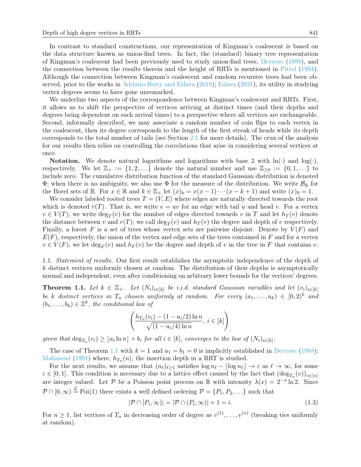In contrast to standard constructions, our representation of Kingman's coalescent is based on the data structure known as union-find trees. In fact, the (standard) binary tree representation of Kingman's coalescent had been previously used to study union-find trees, [Devroye](#page-18-6) [\(1988\)](#page-18-6), and the connection between the results therein and the height of RRTs is mentioned in [Pittel](#page-18-8) [\(1994\)](#page-18-8). Although the connection between Kingman's coalescent and random recursive trees had been observed, prior to the works in [Addario-Berry and Eslava](#page-17-2) [\(2018\)](#page-17-2); [Eslava](#page-18-5) [\(2021\)](#page-18-5), its utility in studying vertex degrees seems to have gone unremarked.

We underline two aspects of the correspondence between Kingman's coalescent and RRTs. First, it allows us to shift the perspective of vertices arriving at distinct times (and their depths and degrees being dependent on such arrival times) to a perspective where all vertices are exchangeable. Second, informally described, we may associate a random number of coin flips to each vertex in the coalescent, then its degree corresponds to the length of the first streak of heads while its depth corresponds to the total number of tails (see Section [2.1](#page-5-0) for more details). The crux of the analysis for our results then relies on controlling the correlations that arise in considering several vertices at once.

**Notation.** We denote natural logarithms and logarithms with base 2 with  $\ln(\cdot)$  and  $\log(\cdot)$ , respectively. We let  $\mathbb{Z}_+ := \{1, 2, \ldots\}$  denote the natural number and use  $\mathbb{Z}_{\geq 0} := \{0, 1, \ldots\}$  to include zero. The cumulative distribution function of the standard Gaussian distribution is denoted  $\Phi$ ; when there is no ambiguity, we also use  $\Phi$  for the measure of the distribution. We write  $\mathcal{B}_{\mathbb{R}}$  for the Borel sets of R. For  $x \in \mathbb{R}$  and  $k \in \mathbb{Z}_+$  let  $(x)_k = x(x-1)\cdots(x-k+1)$  and write  $(x)_0 = 1$ .

We consider labeled rooted trees  $T = (V, E)$  where edges are naturally directed towards the root which is denoted  $r(T)$ . That is, we write  $e = uv$  for an edge with tail u and head v. For a vertex  $v \in V(T)$ , we write  $\deg_T(v)$  for the number of edges directed towards v in T and let  $h_T(v)$  denote the distance between v and  $r(T)$ ; we call  $\deg_T(v)$  and  $h_T(v)$  the degree and depth of v respectively. Finally, a forest F is a set of trees whose vertex sets are pairwise disjoint. Denote by  $V(F)$  and  $E(F)$ , respectively, the union of the vertex and edge sets of the trees contained in F and for a vertex  $v \in V(F)$ , we let  $\deg_F(v)$  and  $h_F(v)$  be the degree and depth of v in the tree in F that contains v.

1.1. *Statement of results*. Our first result establishes the asymptotic independence of the depth of k distinct vertices uniformly chosen at random. The distribution of their depths is asymptotically normal and independent, even after conditioning on arbitrary lower bounds for the vertices' degrees.

<span id="page-2-0"></span>**Theorem 1.1.** Let  $k \in \mathbb{Z}_+$ . Let  $(N_i)_{i \in [k]}$  be i.i.d. standard Gaussian variables and let  $(v_i)_{i \in [k]}$ be k distinct vertices in  $T_n$  chosen uniformly at random. For every  $(a_1, \ldots, a_k) \in [0, 2)^k$  and  $(b_1, \ldots, b_k) \in \mathbb{Z}^k$ , the conditional law of

$$
\left(\frac{h_{T_n}(v_i) - (1 - a_i/2) \ln n}{\sqrt{(1 - a_i/4) \ln n}}, i \in [k]\right)_i
$$

given that  $\deg_{T_n}(v_i) \geq \lfloor a_i \ln n \rfloor + b_i$  for all  $i \in [k]$ , converges to the law of  $(N_i)_{i \in [k]}$ .

The case of Theorem [1.1](#page-2-0) with  $k = 1$  and  $a_1 = b_1 = 0$  is implicitly established in [Devroye](#page-18-6) [\(1988\)](#page-18-6); [Mahmoud](#page-18-7) [\(1991\)](#page-18-7) where,  $h_{T_n}(n)$ , the insertion depth in a RRT is studied.

For the next results, we assume that  $(n_\ell)_{\ell>1}$  satisfies  $\log n_\ell - \lfloor \log n_\ell \rfloor \to \varepsilon$  as  $\ell \to \infty$ , for some  $\varepsilon \in [0,1]$ . This condition is necessary due to a lattice effect caused by the fact that  $(\deg_{T_n}(v))_{v \in [n]}$ are integer valued. Let P be a Poisson point process on R with intensity  $\lambda(x) = 2^{-x} \ln 2$ . Since  $\mathcal{P} \cap [0,\infty) \stackrel{\mathcal{L}}{=} \text{Poi}(1)$  there exists a well defined ordering  $\mathcal{P} = \{P_1, P_2, \ldots\}$  such that

<span id="page-2-1"></span>
$$
|\mathcal{P} \cap [P_i, \infty)| = |\mathcal{P} \cap (P_i, \infty)| + 1 = i.
$$
\n(1.3)

For  $n \geq 1$ , list vertices of  $T_n$  in decreasing order of degree as  $v^{(1)}, \ldots, v^{(n)}$  (breaking ties uniformly at random).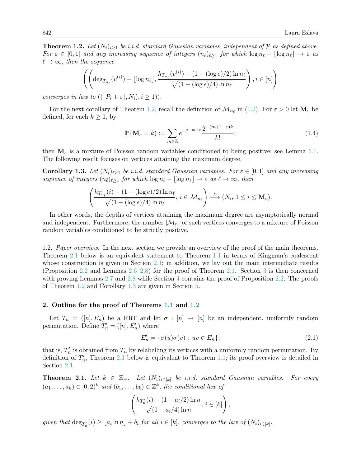<span id="page-3-0"></span>**Theorem 1.2.** Let  $(N_i)_{i>1}$  be i.i.d. standard Gaussian variables, independent of P as defined above. For  $\varepsilon \in [0,1]$  and any increasing sequence of integers  $(n_\ell)_{\ell>1}$  for which  $\log n_\ell - \lfloor \log n_\ell \rfloor \to \varepsilon$  as  $\ell \to \infty$ , then the sequence

$$
\left( \left( \deg_{T_{n_{\ell}}}(v^{(i)}) - \lfloor \log n_{\ell} \rfloor, \frac{h_{T_{n_{\ell}}}(v^{(i)}) - (1 - (\log e)/2) \ln n_{\ell}}{\sqrt{(1 - (\log e)/4) \ln n_{\ell}}} \right), i \in [n] \right)
$$

converges in law to  $((|P_i + \varepsilon|, N_i), i \geq 1)).$ 

For the next corollary of Theorem [1.2,](#page-3-0) recall the definition of  $\mathcal{M}_{n_\ell}$  in [\(1.2\)](#page-1-0). For  $\varepsilon > 0$  let  $\mathbf{M}_{\varepsilon}$  be defined, for each  $k \geq 1$ , by

<span id="page-3-4"></span>
$$
\mathbb{P}\left(\mathbf{M}_{\varepsilon}=k\right) := \sum_{m\in\mathbb{Z}} e^{-2^{-m+\varepsilon}} \frac{2^{-(m+1-\varepsilon)k}}{k!};\tag{1.4}
$$

then  $M_{\varepsilon}$  is a mixture of Poisson random variables conditioned to being positive; see Lemma [5.1.](#page-16-0) The following result focuses on vertices attaining the maximum degree.

<span id="page-3-1"></span>**Corollary 1.3.** Let  $(N_i)_{i\geq 1}$  be i.i.d. standard Gaussian variables. For  $\varepsilon \in [0,1]$  and any increasing sequence of integers  $(n_\ell)_{\ell>1}$  for which  $\log n_\ell - \lfloor \log n_\ell \rfloor \to \varepsilon$  as  $\ell \to \infty$ , then

$$
\left(\frac{h_{T_{n_{\ell}}}(i) - (1 - (\log e)/2) \ln n_{\ell}}{\sqrt{(1 - (\log e)/4) \ln n_{\ell}}}, i \in \mathcal{M}_{n_{\ell}}\right) \stackrel{\mathcal{L}}{\longrightarrow} (N_i, 1 \leq i \leq \mathbf{M}_{\varepsilon}).
$$

In other words, the depths of vertices attaining the maximum degree are asymptotically normal and independent. Furthermore, the number  $|\mathcal{M}_n|$  of such vertices converges to a mixture of Poisson random variables conditioned to be strictly positive.

1.2. Paper overview. In the next section we provide an overview of the proof of the main theorems. Theorem [2.1](#page-3-2) below is an equivalent statement to Theorem [1.1](#page-2-0) in terms of Kingman's coalescent whose construction is given in Section [2.1;](#page-5-0) in addition, we lay out the main intermediate results (Proposition [2.2](#page-4-0) and Lemmas [2.6–](#page-7-0)[2.8\)](#page-9-0) for the proof of Theorem [2.1.](#page-3-2) Section [3](#page-9-1) is then concerned with proving Lemmas [2.7](#page-8-0) and [2.8](#page-9-0) while Section [4](#page-14-0) contains the proof of Proposition [2.2.](#page-4-0) The proofs of Theorem [1.2](#page-3-0) and Corollary [1.3](#page-3-1) are given in Section [5.](#page-15-0)

# 2. Outline for the proof of Theorems [1.1](#page-2-0) and [1.2](#page-3-0)

Let  $T_n = ([n], E_n)$  be a RRT and let  $\sigma : [n] \to [n]$  be an independent, uniformly random permutation. Define  $T'_n = ([n], E'_n)$  where

<span id="page-3-3"></span>
$$
E'_n = \{ \sigma(u)\sigma(v) : uv \in E_n \};\tag{2.1}
$$

that is,  $T_n'$  is obtained from  $T_n$  by relabelling its vertices with a uniformly random permutation. By definition of  $T_n'$ , Theorem [2.1](#page-3-2) below is equivalent to Theorem [1.1;](#page-2-0) its proof overview is detailed in Section [2.1.](#page-5-0)

<span id="page-3-2"></span>**Theorem 2.1.** Let  $k \in \mathbb{Z}_+$ . Let  $(N_i)_{i \in [k]}$  be i.i.d. standard Gaussian variables. For every  $(a_1, \ldots, a_k) \in [0, 2)^k$  and  $(b_1, \ldots, b_k) \in \mathbb{Z}^k$ , the conditional law of

$$
\left(\frac{h_{T'_n}(i) - (1 - a_i/2) \ln n}{\sqrt{(1 - a_i/4) \ln n}}, i \in [k]\right),\,
$$

given that  $\deg_{T'_n}(i) \geq \lfloor a_i \ln n \rfloor + b_i$  for all  $i \in [k]$ , converges to the law of  $(N_i)_{i \in [k]}$ .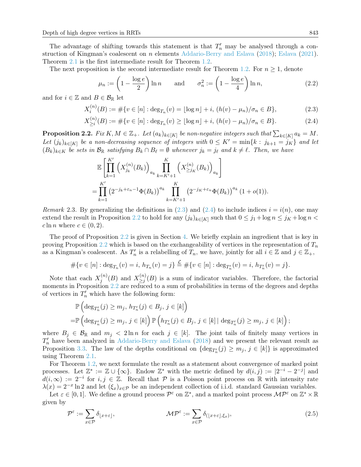The advantage of shifting towards this statement is that  $T'_n$  may be analysed through a construction of Kingman's coalescent on n elements [Addario-Berry and Eslava](#page-17-2) [\(2018\)](#page-17-2); [Eslava](#page-18-5) [\(2021\)](#page-18-5). Theorem [2.1](#page-3-2) is the first intermediate result for Theorem [1.2.](#page-3-0)

The next proposition is the second intermediate result for Theorem [1.2.](#page-3-0) For  $n \geq 1$ , denote

<span id="page-4-3"></span><span id="page-4-2"></span><span id="page-4-1"></span>
$$
\mu_n := \left(1 - \frac{\log e}{2}\right) \ln n \qquad \text{and} \qquad \sigma_n^2 := \left(1 - \frac{\log e}{4}\right) \ln n,
$$
\n(2.2)

and for  $i \in \mathbb{Z}$  and  $B \in \mathcal{B}_{\mathbb{R}}$  let

$$
X_i^{(n)}(B) := \# \{ v \in [n] : \deg_{T_n}(v) = \lfloor \log n \rfloor + i, \ (h(v) - \mu_n) / \sigma_n \in B \},\tag{2.3}
$$

$$
X_{\geq i}^{(n)}(B) := \# \{ v \in [n] : \deg_{T_n}(v) \geq \lfloor \log n \rfloor + i, \, (h(v) - \mu_n) / \sigma_n \in B \}. \tag{2.4}
$$

<span id="page-4-0"></span>**Proposition 2.2.** Fix  $K, M \in \mathbb{Z}_+$ . Let  $(a_k)_{k \in [K]}$  be non-negative integers such that  $\sum_{k \in [K]} a_k = M$ . Let  $(j_k)_{k\in[K]}$  be a non-decreasing sequence of integers with  $0 \leq K' = \min\{k : j_{k+1} = j_K\}$  and let  $(B_k)_{k\in K}$  be sets in  $\mathcal{B}_{\mathbb{R}}$  satisfying  $B_k \cap B_\ell = \emptyset$  whenever  $j_k = j_\ell$  and  $k \neq \ell$ . Then, we have

$$
\mathbb{E}\left[\prod_{k=1}^{K'}\left(X_{j_k}^{(n)}(B_k)\right)_{a_k}\prod_{k=K'+1}^{K}\left(X_{\geq j_K}^{(n)}(B_k)\right)_{a_k}\right]
$$
\n
$$
=\prod_{k=1}^{K'}\left(2^{-j_k+\varepsilon_n-1}\Phi(B_k)\right)^{a_k}\prod_{k=K'+1}^{K}\left(2^{-j_K+\varepsilon_n}\Phi(B_k)\right)^{a_k}(1+o(1)).
$$

Remark 2.3. By generalizing the definitions in [\(2.3\)](#page-4-1) and [\(2.4\)](#page-4-2) to include indices  $i = i(n)$ , one may extend the result in Proposition [2.2](#page-4-0) to hold for any  $(j_k)_{k \in [K]}$  such that  $0 \leq j_1 + \log n \leq j_K + \log n <$  $c \ln n$  where  $c \in (0, 2)$ .

The proof of Proposition [2.2](#page-4-0) is given in Section [4.](#page-14-0) We briefly explain an ingredient that is key in proving Proposition [2.2](#page-4-0) which is based on the exchangeability of vertices in the representation of  $T_n$ as a Kingman's coalescent. As  $T_n'$  is a relabelling of  $T_n$ , we have, jointly for all  $i \in \mathbb{Z}$  and  $j \in \mathbb{Z}_+$ ,

$$
\#\{v \in [n] : \deg_{T_n}(v) = i, h_{T_n}(v) = j\} \stackrel{\mathcal{L}}{=} \#\{v \in [n] : \deg_{T'_n}(v) = i, h_{T'_n}(v) = j\}.
$$

Note that each  $X_i^{(n)}$  $j^{(n)}(B)$  and  $X_{\geq j}^{(n)}$  $\sum_{j=1}^{(n)}(B)$  is a sum of indicator variables. Therefore, the factorial moments in Proposition [2.2](#page-4-0) are reduced to a sum of probabilities in terms of the degrees and depths of vertices in  $T'_n$  which have the following form:

$$
\mathbb{P}\left(\deg_{T'_n}(j) \geq m_j, h_{T'_n}(j) \in B_j, j \in [k]\right)
$$
  
=  $\mathbb{P}\left(\deg_{T'_n}(j) \geq m_j, j \in [k]\right) \mathbb{P}\left(h_{T'_n}(j) \in B_j, j \in [k]\mid \deg_{T'_n}(j) \geq m_j, j \in [k]\right);$ 

where  $B_j \in \mathcal{B}_{\mathbb{R}}$  and  $m_j < 2 \ln n$  for each  $j \in [k]$ . The joint tails of finitely many vertices in  $T_n'$  have been analyzed in [Addario-Berry and Eslava](#page-17-2) [\(2018\)](#page-17-2) and we present the relevant result as Proposition [3.3.](#page-10-0) The law of the depths conditional on  $\{\deg_{T_n}(j) \geq m_j, j \in [k]\}\$ is approximated using Theorem [2.1.](#page-3-2)

For Theorem [1.2,](#page-3-0) we next formulate the result as a statement about convergence of marked point processes. Let  $\mathbb{Z}^* := \mathbb{Z} \cup \{\infty\}$ . Endow  $\mathbb{Z}^*$  with the metric defined by  $d(i, j) := |2^{-i} - 2^{-j}|$  and  $d(i,\infty) := 2^{-i}$  for  $i, j \in \mathbb{Z}$ . Recall that P is a Poisson point process on R with intensity rate  $\lambda(x) = 2^{-x} \ln 2$  and let  $(\xi_x)_{x \in \mathcal{P}}$  be an independent collection of i.i.d. standard Gaussian variables.

Let  $\varepsilon \in [0,1]$ . We define a ground process  $\mathcal{P}^{\varepsilon}$  on  $\mathbb{Z}^*$ , and a marked point process  $\mathcal{MP}^{\varepsilon}$  on  $\mathbb{Z}^* \times \mathbb{R}$ given by

$$
\mathcal{P}^{\varepsilon} := \sum_{x \in \mathcal{P}} \delta_{\lfloor x + \varepsilon \rfloor}, \qquad \mathcal{MP}^{\varepsilon} := \sum_{x \in \mathcal{P}} \delta_{\lfloor x + \varepsilon \rfloor, \xi_x)}, \qquad (2.5)
$$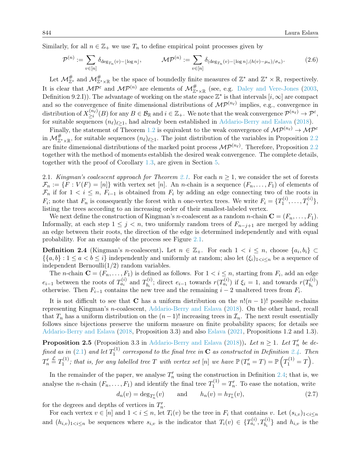Similarly, for all  $n \in \mathbb{Z}_+$  we use  $T_n$  to define empirical point processes given by

$$
\mathcal{P}^{(n)} := \sum_{v \in [n]} \delta_{\deg_{T_n}(v) - \lfloor \log n \rfloor}, \qquad \mathcal{MP}^{(n)} := \sum_{v \in [n]} \delta_{(\deg_{T_n}(v) - \lfloor \log n \rfloor, (h(v) - \mu_n)/\sigma_n)}.
$$
(2.6)

Let  $\mathcal{M}_{\mathbb{Z}^*}^{\#}$  and  $\mathcal{M}_{\mathbb{Z}^*\times\mathbb{R}}^{\#}$  be the space of boundedly finite measures of  $\mathbb{Z}^*$  and  $\mathbb{Z}^*\times\mathbb{R}$ , respectively. It is clear that  $\mathcal{MP}^{\varepsilon}$  and  $\mathcal{MP}^{(n)}$  are elements of  $\mathcal{M}_{\mathbb{Z}^*\times\mathbb{R}}^{\#}$  (see, e.g. [Daley and Vere-Jones](#page-18-9) [\(2003,](#page-18-9) Definition 9.2.I)). The advantage of working on the state space  $\mathbb{Z}^*$  is that intervals  $[i,\infty]$  are compact and so the convergence of finite dimensional distributions of  $\mathcal{MP}^{(n_{\ell})}$  implies, e.g., convergence in distribution of  $X_{>i}^{(n_\ell)}$  $\sum_{i=1}^{(n_{\ell})}(B)$  for any  $B\in\mathcal{B}_{\mathbb{R}}$  and  $i\in\mathbb{Z}_{+}$ . We note that the weak convergence  $\mathcal{P}^{(n_{\ell})}\to\mathcal{P}^{\varepsilon}$ , for suitable sequences  $(n_\ell)_{\ell>1}$ , had already been established in [Addario-Berry and Eslava](#page-17-2) [\(2018\)](#page-17-2).

Finally, the statement of Theorem [1.2](#page-3-0) is equivalent to the weak convergence of  $\mathcal{MP}^{(n_{\ell})} \to \mathcal{MP}^{\varepsilon}$ in  $\mathcal{M}_{\mathbb{Z}^*\times\mathbb{R}}^{\#}$ , for suitable sequences  $(n_\ell)_{\ell\geq 1}$ . The joint distribution of the variables in Proposition [2.2](#page-4-0) are finite dimensional distributions of the marked point process  $\mathcal{MP}^{(n_{\ell})}$ . Therefore, Proposition [2.2](#page-4-0) together with the method of moments establish the desired weak convergence. The complete details, together with the proof of Corollary [1.3,](#page-3-1) are given in Section [5.](#page-15-0)

<span id="page-5-0"></span>[2.1.](#page-3-2) Kingman's coalescent approach for Theorem 2.1. For each  $n \geq 1$ , we consider the set of forests  $\mathcal{F}_n := \{F : V(F) = [n]\}$  with vertex set  $[n]$ . An *n*-chain is a sequence  $(F_n, \ldots, F_1)$  of elements of  $\mathcal{F}_n$  if for  $1 < i \leq n$ ,  $F_{i-1}$  is obtained from  $F_i$  by adding an edge connecting two of the roots in  $F_i$ ; note that  $F_n$  is consequently the forest with n one-vertex trees. We write  $F_i = \{T_1^{(i)}\}$  $T_1^{(i)}, \ldots, T_i^{(i)}\},$ listing the trees according to an increasing order of their smallest-labeled vertex.

We next define the construction of Kingman's *n*-coalescent as a random *n*-chain  $\mathbf{C} = (F_n, \ldots, F_1)$ . Informally, at each step  $1 \leq j \leq n$ , two uniformly random trees of  $F_{n-j+1}$  are merged by adding an edge between their roots, the direction of the edge is determined independently and with equal probability. For an example of the process see Figure [2.1.](#page-6-0)

<span id="page-5-1"></span>**Definition 2.4** (Kingman's *n*-coalescent). Let  $n \in \mathbb{Z}_+$ . For each  $1 < i \leq n$ , choose  $\{a_i, b_i\} \subset$  $\{\{a,b\}: 1 \leq a < b \leq i\}$  independently and uniformly at random; also let  $(\xi_i)_{1 \leq i \leq n}$  be a sequence of independent Bernoulli $(1/2)$  random variables.

The *n*-chain  $\mathbf{C} = (F_n, \ldots, F_1)$  is defined as follows. For  $1 \leq i \leq n$ , starting from  $F_i$ , add an edge  $e_{i-1}$  between the roots of  $T_{a_i}^{(i)}$  and  $T_{b_i}^{(i)}$  $b_i^{(i)}$ ; direct  $e_{i-1}$  towards  $r(T_{a_i}^{(i)})$  if  $\xi_i = 1$ , and towards  $r(T_{b_i}^{(i)})$  $\binom{v}{b_i}$ otherwise. Then  $F_{i-1}$  contains the new tree and the remaining  $i-2$  unaltered trees from  $F_i$ .

It is not difficult to see that **C** has a uniform distribution on the  $n!(n-1)!$  possible *n*-chains representing Kingman's n-coalescent, [Addario-Berry and Eslava](#page-17-2) [\(2018\)](#page-17-2). On the other hand, recall that  $T_n$  has a uniform distribution on the  $(n-1)!$  increasing trees in  $\mathcal{I}_n$ . The next result essentially follows since bijections preserve the uniform measure on finite probability spaces; for details see [Addario-Berry and Eslava](#page-17-2) [\(2018,](#page-17-2) Proposition 3.3) and also [Eslava](#page-18-5) [\(2021,](#page-18-5) Propositions 1.2 and 1.3).

**Proposition 2.5** (Proposition 3.3 in [Addario-Berry and Eslava](#page-17-2) [\(2018\)](#page-17-2)). Let  $n \ge 1$ . Let  $T'_n$  be defined as in  $(2.1)$  and let  $T_1^{(1)}$  $1^{(1)}$  correspond to the final tree in **C** as constructed in Definition [2.4.](#page-5-1) Then  $T'_n \stackrel{\mathcal{L}}{=} T_1^{(1)}$  $T_1^{(1)}$ ; that is, for any labelled tree T with vertex set  $[n]$  we have  $\mathbb{P}(T_n' = T) = \mathbb{P}(T_1^{(1)} = T)$ .

In the remainder of the paper, we analyse  $T_n'$  using the construction in Definition [2.4;](#page-5-1) that is, we analyse the *n*-chain  $(F_n, \ldots, F_1)$  and identify the final tree  $T_1^{(1)} = T_n'$ . To ease the notation, write

$$
d_n(v) = \deg_{T'_n}(v) \quad \text{and} \quad h_n(v) = h_{T'_n}(v), \tag{2.7}
$$

for the degrees and depths of vertices in  $T'_n$ .

For each vertex  $v \in [n]$  and  $1 < i \leq n$ , let  $T_i(v)$  be the tree in  $F_i$  that contains v. Let  $(s_{i,v})_{1 \leq i \leq n}$ and  $(h_{i,v})_{1 \leq i \leq n}$  be sequences where  $s_{i,v}$  is the indicator that  $T_i(v) \in \{T_{a_i}^{(i)}, T_{b_i}^{(i)}\}$  and  $h_{i,v}$  is the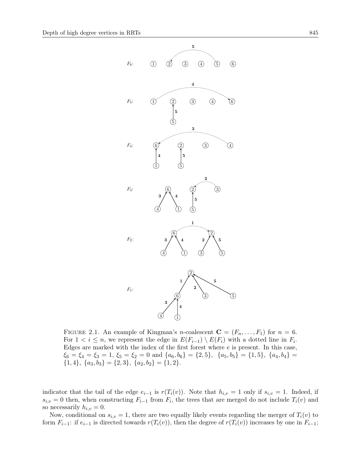

<span id="page-6-0"></span>FIGURE 2.1. An example of Kingman's *n*-coalescent  $\mathbf{C} = (F_n, \ldots, F_1)$  for  $n = 6$ . For  $1 < i \leq n$ , we represent the edge in  $E(F_{i-1}) \setminus E(F_i)$  with a dotted line in  $F_i$ . Edges are marked with the index of the first forest where e is present. In this case,  $\xi_6 = \xi_4 = \xi_3 = 1, \, \xi_5 = \xi_2 = 0 \, \text{ and } \{a_6, b_6\} = \{2, 5\}, \, \{a_5, b_5\} = \{1, 5\}, \, \{a_4, b_4\} =$  $\{1,4\}, \{a_3,b_3\} = \{2,3\}, \{a_2,b_2\} = \{1,2\}.$ 

indicator that the tail of the edge  $e_{i-1}$  is  $r(T_i(v))$ . Note that  $h_{i,v} = 1$  only if  $s_{i,v} = 1$ . Indeed, if  $s_{i,v} = 0$  then, when constructing  $F_{i-1}$  from  $F_i$ , the trees that are merged do not include  $T_i(v)$  and so necessarily  $h_{i,v} = 0$ .

Now, conditional on  $s_{i,v} = 1$ , there are two equally likely events regarding the merger of  $T_i(v)$  to form  $F_{i-1}$ : if  $e_{i-1}$  is directed towards  $r(T_i(v))$ , then the degree of  $r(T_i(v))$  increases by one in  $F_{i-1}$ ;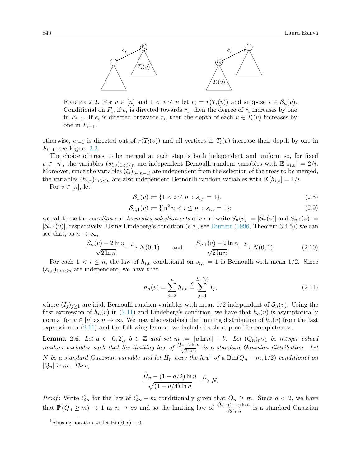

<span id="page-7-1"></span>FIGURE 2.2. For  $v \in [n]$  and  $1 < i \leq n$  let  $r_i = r(T_i(v))$  and suppose  $i \in S_n(v)$ . Conditional on  $F_i$ , if  $e_i$  is directed towards  $r_i$ , then the degree of  $r_i$  increases by one in  $F_{i-1}$ . If  $e_i$  is directed outwards  $r_i$ , then the depth of each  $u \in T_i(v)$  increases by one in  $F_{i-1}$ .

otherwise,  $e_{i-1}$  is directed out of  $r(T_i(v))$  and all vertices in  $T_i(v)$  increase their depth by one in  $F_{i-1}$ ; see Figure [2.2.](#page-7-1)

The choice of trees to be merged at each step is both independent and uniform so, for fixed  $v \in [n]$ , the variables  $(s_{i,v})_{1 \leq i \leq n}$  are independent Bernoulli random variables with  $\mathbb{E}[s_{i,v}] = 2/i$ . Moreover, since the variables  $(\xi_i)_{i\in[n-1]}$  are independent from the selection of the trees to be merged, the variables  $(h_{i,v})_{1\leq i\leq n}$  are also independent Bernoulli random variables with  $\mathbb{E}[h_{i,v}] = 1/i$ .

For  $v \in [n]$ , let

<span id="page-7-4"></span>
$$
\mathcal{S}_n(v) := \{ 1 < i \le n : s_{i,v} = 1 \},\tag{2.8}
$$

$$
\mathcal{S}_{n,1}(v) := \{ \ln^2 n < i \le n \, : \, s_{i,v} = 1 \};\tag{2.9}
$$

we call these the selection and truncated selection sets of v and write  $S_n(v) := |\mathcal{S}_n(v)|$  and  $S_{n,1}(v) :=$  $|\mathcal{S}_{n,1}(v)|$ , respectively. Using Lindeberg's condition (e.g., see [Durrett](#page-18-10) [\(1996,](#page-18-10) Theorem 3.4.5)) we can see that, as  $n \to \infty$ ,

$$
\frac{S_n(v) - 2\ln n}{\sqrt{2\ln n}} \xrightarrow{\mathcal{L}} N(0, 1) \quad \text{and} \quad \frac{S_{n,1}(v) - 2\ln n}{\sqrt{2\ln n}} \xrightarrow{\mathcal{L}} N(0, 1). \tag{2.10}
$$

For each  $1 \lt i \leq n$ , the law of  $h_{i,v}$  conditional on  $s_{i,v} = 1$  is Bernoulli with mean  $1/2$ . Since  $(s_{i,v})_{1 \leq i \leq n}$  are independent, we have that

<span id="page-7-2"></span>
$$
h_n(v) = \sum_{i=2}^n h_{i,v} \stackrel{\mathcal{L}}{=} \sum_{j=1}^{S_n(v)} I_j,
$$
\n(2.11)

where  $(I_j)_{j\geq 1}$  are i.i.d. Bernoulli random variables with mean  $1/2$  independent of  $\mathcal{S}_n(v)$ . Using the first expression of  $h_n(v)$  in [\(2.11\)](#page-7-2) and Lindeberg's condition, we have that  $h_n(v)$  is asymptotically normal for  $v \in [n]$  as  $n \to \infty$ . We may also establish the limiting distribution of  $h_n(v)$  from the last expression in [\(2.11\)](#page-7-2) and the following lemma; we include its short proof for completeness.

<span id="page-7-0"></span>**Lemma 2.6.** Let  $a \in [0, 2)$ ,  $b \in \mathbb{Z}$  and set  $m := \lfloor a \ln n \rfloor + b$ . Let  $(Q_n)_{n \geq 1}$  be integer valued random variables such that the limiting law of  $\frac{Q_n-2\ln n}{\sqrt{2\ln n}}$  is a standard Gaussian distribution. Let N be a standard Gaussian variable and let  $\hat{H}_n$  have the law<sup>[1](#page-7-3)</sup> of a  $\text{Bin}(Q_n-m,1/2)$  conditional on  $|Q_n| \geq m$ . Then,

$$
\frac{\hat{H}_n - (1 - a/2) \ln n}{\sqrt{(1 - a/4) \ln n}} \xrightarrow{\mathcal{L}} N.
$$

*Proof*: Write  $\hat{Q}_n$  for the law of  $Q_n - m$  conditionally given that  $Q_n \geq m$ . Since  $a < 2$ , we have that  $\mathbb{P}(Q_n \geq m) \to 1$  as  $n \to \infty$  and so the limiting law of  $\frac{\hat{Q}_n - (2-a)\ln n}{\sqrt{2\ln n}}$  is a standard Gaussian

<span id="page-7-3"></span><sup>&</sup>lt;sup>1</sup>Abusing notation we let Bin $(0, p) \equiv 0$ .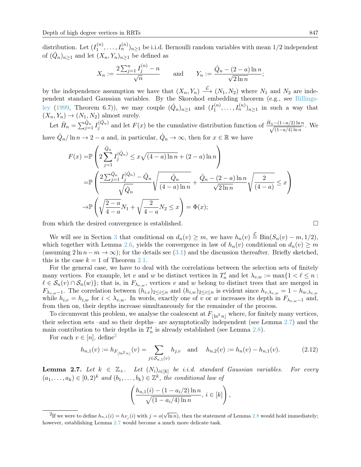distribution. Let  $(I_1^{(n)}$  $I_1^{(n)}, \ldots, I_n^{(n)}$ <sub>n</sub> $\geq 1$  be i.i.d. Bernoulli random variables with mean 1/2 independent of  $(\hat{Q}_n)_{n\geq 1}$  and let  $(X_n, Y_n)_{n\geq 1}$  be defined as

$$
X_n := \frac{2\sum_{j=1}^n I_j^{(n)} - n}{\sqrt{n}}
$$
 and  $Y_n := \frac{\hat{Q}_n - (2 - a)\ln n}{\sqrt{2\ln n}}$ ;

by the independence assumption we have that  $(X_n, Y_n) \stackrel{\mathcal{L}}{\longrightarrow} (N_1, N_2)$  where  $N_1$  and  $N_2$  are independent standard Gaussian variables. By the Skorohod embedding theorem (e.g., see [Billings](#page-18-11)[ley](#page-18-11) [\(1999,](#page-18-11) Theorem 6.7)), we may couple  $(\hat{Q}_n)_{n\geq 1}$  and  $(I_1^{(n)}$  $\binom{n}{1}, \ldots, I_n^{(n)}$ <sub>n</sub> $\geq 1$  in such a way that  $(X_n, Y_n) \to (N_1, N_2)$  almost surely.

Let  $\hat{H}_n = \sum_{j=1}^{\hat{Q}_n} I_j^{(\hat{Q}_n)}$  $j^{(\hat{Q}_n)}$  and let  $F(x)$  be the cumulative distribution function of  $\frac{\hat{H}_n-(1-a/2)\ln n}{\sqrt{(1-a/4)\ln n}}$ . We have  $\hat{Q}_n / \ln n \to 2 - a$  and, in particular,  $\hat{Q}_n \to \infty$ , then for  $x \in \mathbb{R}$  we have

$$
F(x) = \mathbb{P}\left(2\sum_{j=1}^{\hat{Q}_n} I_j^{(\hat{Q}_n)} \le x\sqrt{(4-a)\ln n} + (2-a)\ln n\right)
$$
  
=  $\mathbb{P}\left(\frac{2\sum_{j=1}^{\hat{Q}_n} I_j^{(\hat{Q}_n)} - \hat{Q}_n}{\sqrt{\hat{Q}_n}} \sqrt{\frac{\hat{Q}_n}{(4-a)\ln n}} + \frac{\hat{Q}_n - (2-a)\ln n}{\sqrt{2\ln n}} \sqrt{\frac{2}{(4-a)}} \le x\right)$   
 $\to \mathbb{P}\left(\sqrt{\frac{2-a}{4-a}} N_1 + \sqrt{\frac{2}{4-a}} N_2 \le x\right) = \Phi(x);$ 

from which the desired convergence is established.

We will see in Section [3](#page-9-1) that conditional on  $d_n(v) \geq m$ , we have  $h_n(v) \stackrel{\mathcal{L}}{=} \text{Bin}(S_n(v) - m, 1/2)$ , which together with Lemma [2.6,](#page-7-0) yields the convergence in law of  $h_n(v)$  conditional on  $d_n(v) \geq m$ (assuming  $2 \ln n - m \to \infty$ ); for the details see [\(3.1\)](#page-9-2) and the discussion thereafter. Briefly sketched, this is the case  $k = 1$  of Theorem [2.1.](#page-3-2)

For the general case, we have to deal with the correlations between the selection sets of finitely many vertices. For example, let v and w be distinct vertices in  $T'_n$  and let  $\lambda_{v,w} := \max\{1 \leq \ell \leq n :$  $\ell \in \mathcal{S}_n(v) \cap \mathcal{S}_n(w)$ ; that is, in  $F_{\lambda_v,w}$ , vertices v and w belong to distinct trees that are merged in  $F_{\lambda_{v,w}-1}$ . The correlation between  $(h_{i,v})_{2\leq i\leq n}$  and  $(h_{i,w})_{2\leq i\leq n}$  is evident since  $h_{v,\lambda_{v,w}}=1-h_{w,\lambda_{v,w}}$ while  $h_{i,v} = h_{i,w}$  for  $i < \lambda_{v,w}$ . In words, exactly one of v or w increases its depth in  $F_{\lambda_{v,w}-1}$  and, from then on, their depths increase simultaneously for the remainder of the process.

To circumvent this problem, we analyse the coalescent at  $F_{\lfloor \ln^2 n \rfloor}$  where, for finitely many vertices, their selection sets –and so their depths– are asymptotically independent (see Lemma [2.7\)](#page-8-0) and the main contribution to their depths in  $T'_n$  is already established (see Lemma [2.8\)](#page-9-0).

For each  $v \in [n]$ , define<sup>[2](#page-8-1)</sup>

$$
h_{n,1}(v) := h_{F_{\lfloor \ln^2 n \rfloor}}(v) = \sum_{j \in S_{n,1}(v)} h_{j,v} \quad \text{and} \quad h_{n,2}(v) := h_n(v) - h_{n,1}(v). \tag{2.12}
$$

<span id="page-8-0"></span>**Lemma 2.7.** Let  $k \in \mathbb{Z}_+$ . Let  $(N_i)_{i \in [k]}$  be i.i.d. standard Gaussian variables. For every  $(a_1, \ldots, a_k) \in [0, 2)^k$  and  $(b_1, \ldots, b_k) \in \mathbb{Z}^k$ , the conditional law of

$$
\left(\frac{h_{n,1}(i) - (1 - a_i/2) \ln n}{\sqrt{(1 - a_i/4) \ln n}}, i \in [k]\right),\,
$$

<span id="page-8-1"></span> $\overline{P_{\text{2H}}}$  we were to define  $h_{n,1}(i) = h_{F_j}(i)$  with  $j = o(\sqrt{\ln n})$ , then the statement of Lemma [2.8](#page-9-0) would hold immediately; however, establishing Lemma [2.7](#page-8-0) would become a much more delicate task.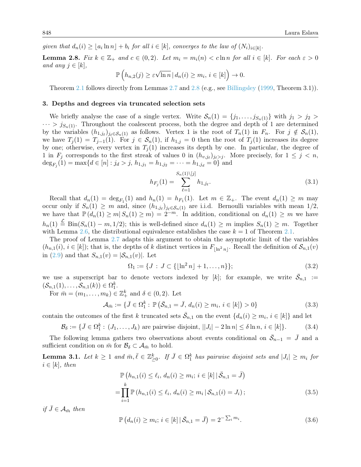given that  $d_n(i) \geq \lfloor a_i \ln n \rfloor + b_i$  for all  $i \in [k]$ , converges to the law of  $(N_i)_{i \in [k]}$ .

<span id="page-9-0"></span>**Lemma 2.8.** Fix  $k \in \mathbb{Z}_+$  and  $c \in (0, 2)$ . Let  $m_i = m_i(n) < c \ln n$  for all  $i \in [k]$ . For each  $\varepsilon > 0$ and any  $j \in [k]$ , √

$$
\mathbb{P}\left(h_{n,2}(j) \geq \varepsilon \sqrt{\ln n} \,|\, d_n(i) \geq m_i, \, i \in [k]\right) \to 0.
$$

Theorem [2.1](#page-3-2) follows directly from Lemmas [2.7](#page-8-0) and [2.8](#page-9-0) (e.g., see [Billingsley](#page-18-11) [\(1999,](#page-18-11) Theorem 3.1)).

## <span id="page-9-1"></span>3. Depths and degrees via truncated selection sets

We briefly analyse the case of a single vertex. Write  $S_n(1) = \{j_1, \ldots, j_{S_n(1)}\}$  with  $j_1 > j_2 >$  $\cdots > j_{S_n(1)}$ . Throughout the coalescent process, both the degree and depth of 1 are determined by the variables  $(h_{1,j_\ell})_{j_\ell \in S_n(1)}$  as follows. Vertex 1 is the root of  $T_n(1)$  in  $F_n$ . For  $j \notin S_n(1)$ , we have  $T_i(1) = T_{i-1}(1)$ . For  $j \in S_n(1)$ , if  $h_{1,j} = 0$  then the root of  $T_i(1)$  increases its degree by one; otherwise, every vertex in  $T_i(1)$  increases its depth by one. In particular, the degree of 1 in  $F_j$  corresponds to the first streak of values 0 in  $(h_{v,j_\ell})_{j_\ell > j}$ . More precisely, for  $1 \leq j \leq n$ ,  $\deg_{F_j}(1) = \max\{d \in [n] : j_d > j, h_{1,j_1} = h_{1,j_2} = \cdots = h_{1,j_d} = 0\}$  and

<span id="page-9-2"></span>
$$
h_{F_j}(1) = \sum_{\ell=1}^{S_n(1)\setminus [j]} h_{1,j_\ell}.\tag{3.1}
$$

Recall that  $d_n(1) = \deg_{F_1}(1)$  and  $h_n(1) = h_{F_1}(1)$ . Let  $m \in \mathbb{Z}_+$ . The event  $d_n(1) \geq m$  may occur only if  $S_n(1) \geq m$  and, since  $(h_{1,j_\ell})_{j_\ell \in S_n(1)}$  are i.i.d. Bernoulli variables with mean  $1/2$ , we have that  $\mathbb{P}(d_n(1) \geq m | S_n(1) \geq m) = 2^{-m}$ . In addition, conditional on  $d_n(1) \geq m$  we have  $h_n(1) \stackrel{\mathcal{L}}{=} \text{Bin}(S_n(1) - m, 1/2)$ ; this is well-defined since  $d_n(1) \geq m$  implies  $S_n(1) \geq m$ . Together with Lemma [2.6,](#page-7-0) the distributional equivalence establishes the case  $k = 1$  of Theorem [2.1.](#page-3-2)

The proof of Lemma [2.7](#page-8-0) adapts this argument to obtain the asymptotic limit of the variables  $(h_{n,1}(i), i \in [k])$ ; that is, the depths of k distinct vertices in  $F_{\lfloor \ln^2 n \rfloor}$ . Recall the definition of  $\mathcal{S}_{n,1}(v)$ in [\(2.9\)](#page-7-4) and that  $S_{n,1}(v) = |\mathcal{S}_{n,1}(v)|$ . Let

$$
\Omega_1 := \{ J : J \subset \{ \lfloor \ln^2 n \rfloor + 1, \dots, n \} \};\tag{3.2}
$$

we use a superscript bar to denote vectors indexed by [k]; for example, we write  $\bar{S}_{n,1}$  :=  $(S_{n,1}(1),...,S_{n,1}(k)) \in \Omega_1^k.$ 

For  $\bar{m} = (m_1, \ldots, m_k) \in \mathbb{Z}_+^k$  and  $\delta \in (0, 2)$ . Let

=

$$
\mathcal{A}_{\bar{m}} := \{ \bar{J} \in \Omega_1^k : \mathbb{P} \left( \bar{\mathcal{S}}_{n,1} = \bar{J}, d_n(i) \ge m_i, i \in [k] \right) > 0 \}
$$
(3.3)

contain the outcomes of the first k truncated sets  $\bar{S}_{n,1}$  on the event  $\{d_n(i) \geq m_i, i \in [k]\}$  and let

$$
\mathcal{B}_{\delta} := \{ \bar{J} \in \Omega_1^k : (J_1, \dots, J_k) \text{ are pairwise disjoint, } ||J_i| - 2\ln n \le \delta \ln n, i \in [k] \}. \tag{3.4}
$$

The following lemma gathers two observations about events conditional on  $\bar{S}_{n-1} = \bar{J}$  and a sufficient condition on  $\bar{m}$  for  $\mathcal{B}_{\delta} \subset \mathcal{A}_{\bar{m}}$  to hold.

<span id="page-9-5"></span>**Lemma 3.1.** Let  $k \geq 1$  and  $\bar{m}, \bar{\ell} \in \mathbb{Z}_{\geq 0}^k$ . If  $\bar{J} \in \Omega_1^k$  has pairwise disjoint sets and  $|J_i| \geq m_i$  for  $i \in [k]$ , then

<span id="page-9-3"></span>
$$
\mathbb{P}\left(h_{n,1}(i) \leq \ell_i, d_n(i) \geq m_i; i \in [k] \,|\, \bar{S}_{n,1} = \bar{J}\right) \n= \prod_{i=1}^k \mathbb{P}\left(h_{n,1}(i) \leq \ell_i, d_n(i) \geq m_i \,|\, S_{n,1}(i) = J_i\right);
$$
\n(3.5)

if  $\bar{J} \in \mathcal{A}_{\bar{m}}$  then

<span id="page-9-4"></span>
$$
\mathbb{P}\left(d_n(i) \ge m_i; \, i \in [k] \,|\, \bar{\mathcal{S}}_{n,1} = \bar{J}\right) = 2^{-\sum_i m_i}.\tag{3.6}
$$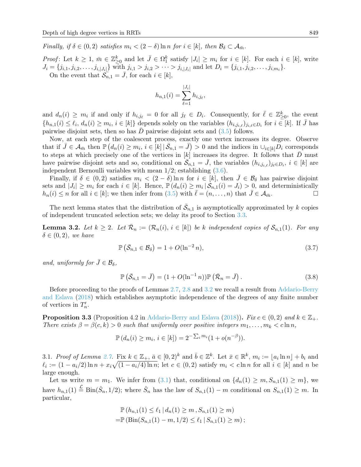Finally, if  $\delta \in (0, 2)$  satisfies  $m_i < (2 - \delta) \ln n$  for  $i \in [k]$ , then  $\mathcal{B}_{\delta} \subset \mathcal{A}_{\overline{n}}$ .

Proof: Let  $k \geq 1$ ,  $\bar{m} \in \mathbb{Z}_{\geq 0}^k$  and let  $\bar{J} \in \Omega_1^k$  satisfy  $|J_i| \geq m_i$  for  $i \in [k]$ . For each  $i \in [k]$ , write  $J_i = \{j_{i,1}, j_{i,2}, \ldots, j_{i,|J_i|}\}\n\text{ with } j_{i,1} > j_{i,2} > \cdots > j_{i,|J_i|}\n\text{ and let } D_i = \{j_{i,1}, j_{i,2}, \ldots, j_{i,m_i}\}.$ On the event that  $S_{n,1} = \bar{J}$ , for each  $i \in [k]$ ,

$$
h_{n,1}(i) = \sum_{\ell=1}^{|J_i|} h_{i,j_\ell},
$$

and  $d_n(i) \geq m_i$  if and only if  $h_{i,j_\ell} = 0$  for all  $j_\ell \in D_i$ . Consequently, for  $\bar{\ell} \in \mathbb{Z}_{\geq 0}^k$ , the event  $\{h_{n,1}(i) \leq \ell_i, d_n(i) \geq m_i, i \in [k]\}\$ depends solely on the variables  $(h_{i,j_i,\ell})_{j_i,\ell \in D_i}$  for  $i \in [k]$ . If  $\bar{J}$  has pairwise disjoint sets, then so has  $\bar{D}$  pairwise disjoint sets and [\(3.5\)](#page-9-3) follows.

Now, at each step of the coalescent process, exactly one vertex increases its degree. Observe that if  $\overline{J} \in \mathcal{A}_{\overline{m}}$  then  $\mathbb{P}\left(d_n(i) \geq m_i, i \in [k] \mid \overline{\mathcal{S}}_{n,1} = \overline{J}\right) > 0$  and the indices in  $\cup_{i \in [k]} \overline{D}_i$  corresponds to steps at which precisely one of the vertices in  $[k]$  increases its degree. It follows that  $\bar{D}$  must have pairwise disjoint sets and so, conditional on  $\overline{S}_{n,1} = \overline{J}$ , the variables  $(h_{i,j_{i,\ell}})_{j_{\ell} \in D_i}$ ,  $i \in [k]$  are independent Bernoulli variables with mean  $1/2$ ; establishing  $(3.6)$ .

Finally, if  $\delta \in (0, 2)$  satisfies  $m_i < (2 - \delta) \ln n$  for  $i \in [k]$ , then  $\overline{J} \in \mathcal{B}_{\delta}$  has pairwise disjoint sets and  $|J_i| \geq m_i$  for each  $i \in [k]$ . Hence,  $\mathbb{P}(d_n(i) \geq m_i | \mathcal{S}_{n,1}(i) = J_i) > 0$ , and deterministically  $h_n(i) \leq n$  for all  $i \in [k]$ ; we then infer from  $(3.5)$  with  $\ell = (n, \ldots, n)$  that  $J \in \mathcal{A}_{\bar{m}}$ .

The next lemma states that the distribution of  $\bar{S}_{n,1}$  is asymptotically approximated by k copies of independent truncated selection sets; we delay its proof to Section [3.3.](#page-12-0)

<span id="page-10-1"></span>**Lemma 3.2.** Let  $k \geq 2$ . Let  $\overline{\mathcal{R}}_n := (\mathcal{R}_n(i), i \in [k])$  be k independent copies of  $\mathcal{S}_{n,1}(1)$ . For any  $\delta \in (0, 2)$ , we have

<span id="page-10-2"></span>
$$
\mathbb{P}\left(\bar{\mathcal{S}}_{n,1}\in\mathcal{B}_{\delta}\right)=1+O(\ln^{-2}n),\tag{3.7}
$$

and, uniformly for  $\bar{J} \in \mathcal{B}_{\delta}$ ,

<span id="page-10-3"></span>
$$
\mathbb{P}\left(\bar{\mathcal{S}}_{n,1}=\bar{J}\right)=(1+O(\ln^{-1}n))\mathbb{P}\left(\bar{\mathcal{R}}_n=\bar{J}\right).
$$
\n(3.8)

Before proceeding to the proofs of Lemmas [2.7,](#page-8-0) [2.8](#page-9-0) and [3.2](#page-10-1) we recall a result from [Addario-Berry](#page-17-2) [and Eslava](#page-17-2) [\(2018\)](#page-17-2) which establishes asymptotic independence of the degrees of any finite number of vertices in  $T'_n$ .

<span id="page-10-0"></span>**Proposition 3.3** (Proposition 4.2 in [Addario-Berry and Eslava](#page-17-2) [\(2018\)](#page-17-2)). Fix  $c \in (0, 2)$  and  $k \in \mathbb{Z}_+$ . There exists  $\beta = \beta(c, k) > 0$  such that uniformly over positive integers  $m_1, \ldots, m_k < c \ln n$ ,

$$
\mathbb{P}(d_n(i) \ge m_i, i \in [k]) = 2^{-\sum_i m_i} (1 + o(n^{-\beta})).
$$

3.1. Proof of Lemma [2.7.](#page-8-0) Fix  $k \in \mathbb{Z}_+$ ,  $\bar{a} \in [0,2)^k$  and  $\bar{b} \in \mathbb{Z}^k$ . Let  $\bar{x} \in \mathbb{R}^k$ ,  $m_i := \lfloor a_i \ln n \rfloor + b_i$  and  $\ell_i := (1 - a_i/2) \ln n + x_i \sqrt{(1 - a_i/4) \ln n}$ ; let  $c \in (0, 2)$  satisfy  $m_i < c \ln n$  for all  $i \in [k]$  and n be large enough.

Let us write  $m = m_1$ . We infer from [\(3.1\)](#page-9-2) that, conditional on  $\{d_n(1) \geq m, S_{n,1}(1) \geq m\}$ , we have  $h_{n,1}(1) \stackrel{\mathcal{L}}{=} \text{Bin}(\hat{S}_n, 1/2)$ ; where  $\hat{S}_n$  has the law of  $S_{n,1}(1) - m$  conditional on  $S_{n,1}(1) \geq m$ . In particular,

$$
\mathbb{P}(h_{n,1}(1) \le \ell_1 | d_n(1) \ge m, S_{n,1}(1) \ge m)
$$
  
=  $\mathbb{P}(\text{Bin}(S_{n,1}(1) - m, 1/2) \le \ell_1 | S_{n,1}(1) \ge m);$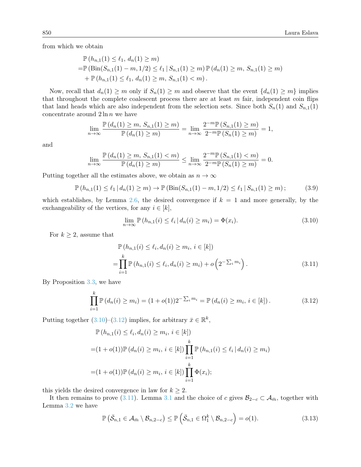from which we obtain

$$
\mathbb{P}(h_{n,1}(1) \le \ell_1, d_n(1) \ge m)
$$
  
=  $\mathbb{P}(\text{Bin}(S_{n,1}(1) - m, 1/2) \le \ell_1 | S_{n,1}(1) \ge m) \mathbb{P}(d_n(1) \ge m, S_{n,1}(1) \ge m)$   
+  $\mathbb{P}(h_{n,1}(1) \le \ell_1, d_n(1) \ge m, S_{n,1}(1) < m).$ 

Now, recall that  $d_n(1) \geq m$  only if  $S_n(1) \geq m$  and observe that the event  $\{d_n(1) \geq m\}$  implies that throughout the complete coalescent process there are at least  $m$  fair, independent coin flips that land heads which are also independent from the selection sets. Since both  $S_n(1)$  and  $S_{n,1}(1)$ concentrate around  $2 \ln n$  we have

$$
\lim_{n \to \infty} \frac{\mathbb{P}(d_n(1) \ge m, S_{n,1}(1) \ge m)}{\mathbb{P}(d_n(1) \ge m)} = \lim_{n \to \infty} \frac{2^{-m} \mathbb{P}(S_{n,1}(1) \ge m)}{2^{-m} \mathbb{P}(S_n(1) \ge m)} = 1,
$$

and

$$
\lim_{n \to \infty} \frac{\mathbb{P}(d_n(1) \ge m, S_{n,1}(1) < m)}{\mathbb{P}(d_n(1) \ge m)} \le \lim_{n \to \infty} \frac{2^{-m} \mathbb{P}(S_{n,1}(1) < m)}{2^{-m} \mathbb{P}(S_n(1) \ge m)} = 0.
$$

Putting together all the estimates above, we obtain as  $n \to \infty$ 

$$
\mathbb{P}(h_{n,1}(1) \le \ell_1 \, | \, d_n(1) \ge m) \to \mathbb{P}(\text{Bin}(S_{n,1}(1) - m, 1/2) \le \ell_1 \, | \, S_{n,1}(1) \ge m); \tag{3.9}
$$

which establishes, by Lemma [2.6,](#page-7-0) the desired convergence if  $k = 1$  and more generally, by the exchangeability of the vertices, for any  $i \in [k]$ ,

<span id="page-11-2"></span><span id="page-11-1"></span><span id="page-11-0"></span>
$$
\lim_{n \to \infty} \mathbb{P}\left(h_{n,1}(i) \le \ell_i \,|\, d_n(i) \ge m_i\right) = \Phi(x_i). \tag{3.10}
$$

For  $k \geq 2$ , assume that

$$
\mathbb{P}(h_{n,1}(i) \le \ell_i, d_n(i) \ge m_i, i \in [k])
$$
\n
$$
= \prod_{i=1}^k \mathbb{P}(h_{n,1}(i) \le \ell_i, d_n(i) \ge m_i) + o\left(2^{-\sum_i m_i}\right). \tag{3.11}
$$

By Proposition [3.3,](#page-10-0) we have

$$
\prod_{i=1}^{k} \mathbb{P}\left(d_n(i) \ge m_i\right) = (1 + o(1))2^{-\sum_i m_i} = \mathbb{P}\left(d_n(i) \ge m_i, i \in [k]\right). \tag{3.12}
$$

Putting together  $(3.10)$ – $(3.12)$  implies, for arbitrary  $\bar{x} \in \mathbb{R}^k$ ,

$$
\mathbb{P}(h_{n,1}(i) \le \ell_i, d_n(i) \ge m_i, i \in [k])
$$
  
=  $(1 + o(1))\mathbb{P}(d_n(i) \ge m_i, i \in [k])\prod_{i=1}^k \mathbb{P}(h_{n,1}(i) \le \ell_i | d_n(i) \ge m_i)$   
=  $(1 + o(1))\mathbb{P}(d_n(i) \ge m_i, i \in [k])\prod_{i=1}^k \Phi(x_i);$ 

this yields the desired convergence in law for  $k \geq 2$ .

It then remains to prove [\(3.11\)](#page-11-2). Lemma [3.1](#page-9-5) and the choice of c gives  $\mathcal{B}_{2-c} \subset \mathcal{A}_{\bar{m}}$ , together with Lemma [3.2](#page-10-1) we have

<span id="page-11-3"></span>
$$
\mathbb{P}\left(\bar{\mathcal{S}}_{n,1}\in\mathcal{A}_{\bar{m}}\setminus\mathcal{B}_{n,2-c}\right)\leq\mathbb{P}\left(\bar{\mathcal{S}}_{n,1}\in\Omega_1^k\setminus\mathcal{B}_{n,2-c}\right)=o(1). \tag{3.13}
$$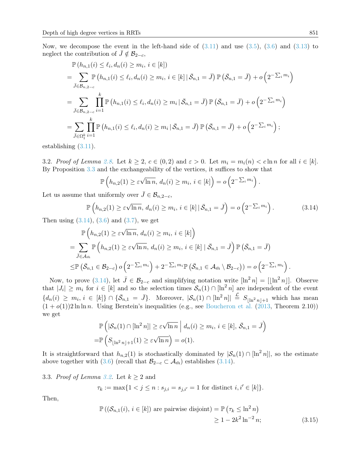Now, we decompose the event in the left-hand side of  $(3.11)$  and use  $(3.5)$ ,  $(3.6)$  and  $(3.13)$  to neglect the contribution of  $\bar{J} \notin \mathcal{B}_{2-c}$ ,

$$
\mathbb{P}(h_{n,1}(i) \leq \ell_i, d_n(i) \geq m_i, i \in [k])
$$
\n
$$
= \sum_{\bar{J} \in \mathcal{B}_{n,2-c}} \mathbb{P}(h_{n,1}(i) \leq \ell_i, d_n(i) \geq m_i, i \in [k] | \bar{S}_{n,1} = \bar{J}) \mathbb{P}(\bar{S}_{n,1} = \bar{J}) + o\left(2^{-\sum_i m_i}\right)
$$
\n
$$
= \sum_{\bar{J} \in \mathcal{B}_{n,2-c}} \prod_{i=1}^k \mathbb{P}(h_{n,1}(i) \leq \ell_i, d_n(i) \geq m_i | \bar{S}_{n,1} = \bar{J}) \mathbb{P}(\bar{S}_{n,1} = \bar{J}) + o\left(2^{-\sum_i m_i}\right)
$$
\n
$$
= \sum_{\bar{J} \in \Omega_1^k} \prod_{i=1}^k \mathbb{P}(h_{n,1}(i) \leq \ell_i, d_n(i) \geq m_i | \bar{S}_{n,1} = \bar{J}) \mathbb{P}(\bar{S}_{n,1} = \bar{J}) + o\left(2^{-\sum_i m_i}\right);
$$

establishing [\(3.11\)](#page-11-2).

3.2. Proof of Lemma [2.8.](#page-9-0) Let  $k \geq 2$ ,  $c \in (0,2)$  and  $\varepsilon > 0$ . Let  $m_i = m_i(n) < c \ln n$  for all  $i \in [k]$ . By Proposition [3.3](#page-10-0) and the exchangeability of the vertices, it suffices to show that

<span id="page-12-1"></span>
$$
\mathbb{P}\left(h_{n,2}(1) \geq \varepsilon \sqrt{\ln n}, d_n(i) \geq m_i, i \in [k]\right) = o\left(2^{-\sum_i m_i}\right).
$$

Let us assume that uniformly over  $\bar{J} \in \mathcal{B}_{n,2-c}$ ,

$$
\mathbb{P}\left(h_{n,2}(1) \geq \varepsilon \sqrt{\ln n}, d_n(i) \geq m_i, i \in [k] \,|\, \bar{S}_{n,1} = \bar{J}\right) = o\left(2^{-\sum_i m_i}\right). \tag{3.14}
$$

Then using  $(3.14)$ ,  $(3.6)$  and  $(3.7)$ , we get

$$
\mathbb{P}\left(h_{n,2}(1) \geq \varepsilon \sqrt{\ln n}, d_n(i) \geq m_i, i \in [k]\right)
$$
\n
$$
= \sum_{\bar{J} \in \mathcal{A}_{\bar{m}}} \mathbb{P}\left(h_{n,2}(1) \geq \varepsilon \sqrt{\ln n}, d_n(i) \geq m_i, i \in [k] \mid \bar{S}_{n,1} = \bar{J}\right) \mathbb{P}\left(\bar{S}_{n,1} = \bar{J}\right)
$$
\n
$$
\leq \mathbb{P}\left(\bar{S}_{n,1} \in \mathcal{B}_{2-c}\right) o\left(2^{-\sum_i m_i}\right) + 2^{-\sum_i m_i} \mathbb{P}\left(\bar{S}_{n,1} \in \mathcal{A}_{\bar{m}} \setminus \mathcal{B}_{2-c}\right) = o\left(2^{-\sum_i m_i}\right).
$$

Now, to prove [\(3.14\)](#page-12-1), let  $\bar{J} \in \mathcal{B}_{2-c}$  and simplifying notation write  $[\ln^2 n] = [\ln^2 n]$ . Observe that  $|J_i| \geq m_i$  for  $i \in [k]$  and so the selection times  $\mathcal{S}_n(1) \cap [\ln^2 n]$  are independent of the event  ${d_n(i) \geq m_i, i \in [k]} \cap {\bar{\mathcal{S}}_{n,1}} = \bar{J}.$  Moreover,  $|\mathcal{S}_n(1) \cap [\ln^2 n]| \stackrel{\mathcal{L}}{=} S_{\lfloor \ln^2 n \rfloor + 1}$  which has mean  $(1 + o(1))2 \ln \ln n$ . Using Berstein's inequalities (e.g., see [Boucheron et al.](#page-18-12) [\(2013,](#page-18-12) Theorem 2.10)) we get

$$
\mathbb{P}\left(|\mathcal{S}_n(1) \cap [\ln^2 n]| \ge \varepsilon \sqrt{\ln n} \mid d_n(i) \ge m_i, i \in [k], \bar{\mathcal{S}}_{n,1} = \bar{J}\right)
$$
  
= 
$$
\mathbb{P}\left(S_{\lfloor \ln^2 n \rfloor + 1}(1) \ge \varepsilon \sqrt{\ln n}\right) = o(1).
$$

It is straightforward that  $h_{n,2}(1)$  is stochastically dominated by  $|\mathcal{S}_n(1) \cap [\ln^2 n]|$ , so the estimate above together with [\(3.6\)](#page-9-4) (recall that  $\mathcal{B}_{2-c} \subset \mathcal{A}_{\bar{m}}$ ) establishes [\(3.14\)](#page-12-1).

<span id="page-12-0"></span>3.3. Proof of Lemma [3.2.](#page-10-1) Let  $k \geq 2$  and

$$
\tau_k := \max\{1 < j \le n : s_{j,i} = s_{j,i'} = 1 \text{ for distinct } i, i' \in [k]\}.
$$

Then,

<span id="page-12-2"></span>
$$
\mathbb{P}((\mathcal{S}_{n,1}(i), i \in [k]) \text{ are pairwise disjoint}) = \mathbb{P}(\tau_k \le \ln^2 n)
$$
  
\n
$$
\ge 1 - 2k^2 \ln^{-2} n;
$$
\n(3.15)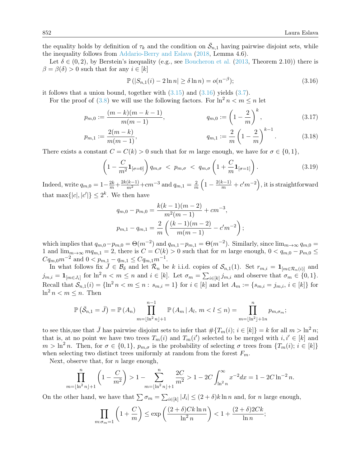the equality holds by definition of  $\tau_k$  and the condition on  $\bar{S}_{n,1}$  having pairwise disjoint sets, while the inequality follows from [Addario-Berry and Eslava](#page-17-2) [\(2018,](#page-17-2) Lemma 4.6).

Let  $\delta \in (0, 2)$ , by Berstein's inequality (e.g., see [Boucheron et al.](#page-18-12) [\(2013,](#page-18-12) Theorem 2.10)) there is  $\beta = \beta(\delta) > 0$  such that for any  $i \in [k]$ 

<span id="page-13-0"></span>
$$
\mathbb{P}\left(|S_{n,1}(i) - 2\ln n\right| \ge \delta \ln n\right) = o(n^{-\beta});\tag{3.16}
$$

it follows that a union bound, together with  $(3.15)$  and  $(3.16)$  yields  $(3.7)$ .

For the proof of [\(3.8\)](#page-10-3) we will use the following factors. For  $\ln^2 n < m \le n$  let

$$
p_{m,0} := \frac{(m-k)(m-k-1)}{m(m-1)}, \qquad q_{m,0} := \left(1 - \frac{2}{m}\right)^k, \qquad (3.17)
$$

$$
p_{m,1} := \frac{2(m-k)}{m(m-1)}, \qquad \qquad q_{m,1} := \frac{2}{m} \left( 1 - \frac{2}{m} \right)^{k-1}.
$$
 (3.18)

There exists a constant  $C = C(k) > 0$  such that for m large enough, we have for  $\sigma \in \{0, 1\}$ ,

$$
\left(1 - \frac{C}{m^2} \mathbf{1}_{[\sigma=0]}\right) q_{m,\sigma} \langle p_{m,\sigma} \rangle q_{m,\sigma} \left(1 + \frac{C}{m} \mathbf{1}_{[\sigma=1]}\right). \tag{3.19}
$$

Indeed, write  $q_{m,0} = 1 - \frac{2k}{m} + \frac{2k(k-1)}{m^2} + cm^{-3}$  and  $q_{m,1} = \frac{2k}{m}$  $\frac{2}{m}\left(1-\frac{2(k-1)}{m}+c'm^{-2}\right)$ , it is straightforward that max $\{|c|, |c'|\} \leq 2^k$ . We then have

$$
q_{m,0} - p_{m,0} = \frac{k(k-1)(m-2)}{m^2(m-1)} + cm^{-3},
$$
  

$$
p_{m,1} - q_{m,1} = \frac{2}{m} \left( \frac{(k-1)(m-2)}{m(m-1)} - c' m^{-2} \right);
$$

which implies that  $q_{m,0}-p_{m,0} = \Theta(m^{-2})$  and  $q_{m,1}-p_{m,1} = \Theta(m^{-2})$ . Similarly, since  $\lim_{m\to\infty} q_{m,0} =$ 1 and  $\lim_{m\to\infty}mq_{m,1}=2$ , there is  $C=C(k)>0$  such that for m large enough,  $0< q_{m,0}-p_{m,0}\leq$  $Cq_{m,0}m^{-2}$  and  $0 < p_{m,1} - q_{m,1} \leq Cq_{m,1}m^{-1}$ .

In what follows fix  $\overline{J} \in \mathcal{B}_\delta$  and let  $\overline{\mathcal{R}}_n$  be k i.i.d. copies of  $\mathcal{S}_{n,1}(1)$ . Set  $r_{m,i} = \mathbf{1}_{[m \in \mathcal{R}_n(i)]}$  and  $j_{m,i} = \mathbf{1}_{[m \in J_i]}$  for  $\ln^2 n < m \le n$  and  $i \in [k]$ . Let  $\sigma_m = \sum_{i \in [k]} j_{m,i}$  and observe that  $\sigma_m \in \{0,1\}$ . Recall that  $S_{n,1}(i) = \{\ln^2 n < m \le n : s_{m,i} = 1\}$  for  $i \in [k]$  and let  $A_m := \{s_{m,i} = j_{m,i}, i \in [k]\}$  for  $\ln^2 n < m \leq n$ . Then

$$
\mathbb{P}(\bar{S}_{n,1} = \bar{J}) = \mathbb{P}(A_n) \prod_{m=\lfloor \ln^2 n \rfloor + 1}^{n-1} \mathbb{P}(A_m | A_l, m < l \leq n) = \prod_{m=\lfloor \ln^2 \rfloor + 1n}^{n} p_{m,\sigma_m};
$$

to see this, use that  $\bar{J}$  has pairwise disjoint sets to infer that  $\#\{T_m(i); i \in [k]\} = k$  for all  $m > \ln^2 n$ ; that is, at no point we have two trees  $T_m(i)$  and  $T_m(i')$  selected to be merged with  $i, i' \in [k]$  and  $m > \ln^2 n$ . Then, for  $\sigma \in \{0,1\}$ ,  $p_{m,\sigma}$  is the probability of selecting  $\sigma$  trees from  $\{T_m(i); i \in [k]\}$ when selecting two distinct trees uniformly at random from the forest  $F_m$ .

Next, observe that, for  $n$  large enough,

$$
\prod_{m=\lfloor \ln^2 n \rfloor + 1}^{n} \left(1 - \frac{C}{m^2}\right) > 1 - \sum_{m=\lfloor \ln^2 n \rfloor + 1}^{n} \frac{2C}{m^2} > 1 - 2C \int_{\ln^2 n}^{\infty} x^{-2} dx = 1 - 2C \ln^{-2} n.
$$

On the other hand, we have that  $\sum \sigma_m = \sum_{i \in [k]} |J_i| \leq (2 + \delta) k \ln n$  and, for n large enough,

$$
\prod_{m:\sigma_m=1} \left(1+\frac{C}{m}\right) \le \exp\left(\frac{(2+\delta)Ck\ln n}{\ln^2 n}\right) < 1+\frac{(2+\delta)2Ck}{\ln n};
$$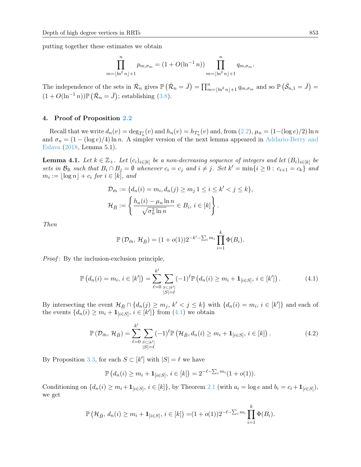putting together these estimates we obtain

$$
\prod_{m=\lfloor \ln^2 n \rfloor + 1}^n p_{m,\sigma_m} = (1 + O(\ln^{-1} n)) \prod_{m=\lfloor \ln^2 n \rfloor + 1}^n q_{m,\sigma_m}.
$$

The independence of the sets in  $\bar{\mathcal{R}}_n$  gives  $\mathbb{P}(\bar{\mathcal{R}}_n = \bar{J}) = \prod_{m=\lfloor \ln^2 n \rfloor + 1}^n q_{m,\sigma_m}$  and so  $\mathbb{P}(\bar{\mathcal{S}}_{n,1} = \bar{J}) =$  $(1 + O(\ln^{-1} n)) \mathbb{P} (\bar{\mathcal{R}}_n = \bar{J});$  establishing [\(3.8\)](#page-10-3).

### <span id="page-14-0"></span>4. Proof of Proposition [2.2](#page-4-0)

Recall that we write  $d_n(v) = \deg_{T'_n}(v)$  and  $h_n(v) = h_{T'_n}(v)$  and, from  $(2.2)$ ,  $\mu_n = (1 - (\log e)/2) \ln n$ and  $\sigma_n = (1 - (\log e)/4) \ln n$ . A simpler version of the next lemma appeared in [Addario-Berry and](#page-17-2) [Eslava](#page-17-2) [\(2018,](#page-17-2) Lemma 5.1).

<span id="page-14-3"></span>**Lemma 4.1.** Let  $k \in \mathbb{Z}_+$ . Let  $(c_i)_{i \in [k]}$  be a non-decreasing sequence of integers and let  $(B_i)_{i \in [k]}$  be sets in  $\mathcal{B}_{\mathbb{R}}$  such that  $B_i \cap B_j = \emptyset$  whenever  $c_i = c_j$  and  $i \neq j$ . Set  $k' = \min\{i \geq 0 : c_{i+1} = c_k\}$  and  $m_i := \lfloor \log n \rfloor + c_i$  for  $i \in [k]$ , and

$$
\mathcal{D}_{\bar{m}} := \{d_n(i) = m_i, d_n(j) \ge m_j 1 \le i \le k' < j \le k\},\
$$
\n
$$
\mathcal{H}_{\bar{B}} := \left\{\frac{h_n(i) - \mu_n \ln n}{\sqrt{\sigma_n^2 \ln n}} \in B_i, i \in [k]\right\}.
$$

Then

<span id="page-14-1"></span>
$$
\mathbb{P}(\mathcal{D}_{\bar{m}}, \mathcal{H}_{\bar{B}}) = (1 + o(1))2^{-k' - \sum_i m_i} \prod_{i=1}^k \Phi(B_i).
$$

Proof: By the inclusion-exclusion principle,

$$
\mathbb{P}\left(d_n(i) = m_i, i \in [k']\right) = \sum_{\ell=0}^{k'} \sum_{\substack{S \subset [k'] \\ |S| = \ell}} (-1)^{\ell} \mathbb{P}\left(d_n(i) \ge m_i + \mathbf{1}_{[i \in S]}, i \in [k']\right). \tag{4.1}
$$

By intersecting the event  $\mathcal{H}_{\bar{B}} \cap \{d_n(j) \geq m_j, k' < j \leq k\}$  with  $\{d_n(i) = m_i, i \in [k']\}$  and each of the events  $\{d_n(i) \geq m_i + \mathbf{1}_{[i \in S]}, i \in [k']\}$  from  $(4.1)$  we obtain

$$
\mathbb{P}(\mathcal{D}_{\bar{m}}, \mathcal{H}_{\bar{B}}) = \sum_{\ell=0}^{k'} \sum_{\substack{S \subset [k']}(-1)^{\ell} \mathbb{P}(\mathcal{H}_{\bar{B}}, d_n(i) \ge m_i + \mathbf{1}_{[i \in S]}, i \in [k])} \tag{4.2}
$$

By Proposition [3.3,](#page-10-0) for each  $S \subset [k']$  with  $|S| = \ell$  we have

<span id="page-14-2"></span>
$$
\mathbb{P}\left(d_n(i) \geq m_i + \mathbf{1}_{[i \in S]}, i \in [k]\right) = 2^{-\ell - \sum_i m_i} (1 + o(1)).
$$

Conditioning on  $\{d_n(i) \geq m_i + \mathbf{1}_{[i \in S]}, i \in [k]\}$ , by Theorem [2.1](#page-3-2) (with  $a_i = \log e$  and  $b_i = c_i + \mathbf{1}_{[i \in S]}$ ), we get

$$
\mathbb{P}\left(\mathcal{H}_{\bar{B}}, d_n(i) \ge m_i + \mathbf{1}_{[i \in S]}, i \in [k]\right) = (1 + o(1))2^{-\ell - \sum_i m_i} \prod_{i=1}^k \Phi(B_i).
$$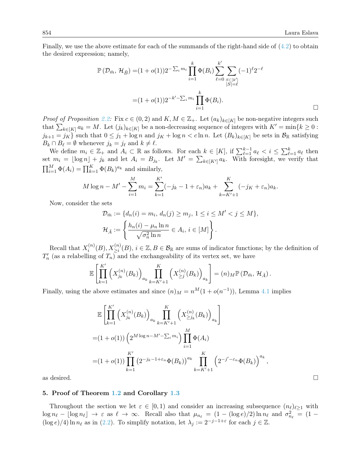Finally, we use the above estimate for each of the summands of the right-hand side of [\(4.2\)](#page-14-2) to obtain the desired expression; namely,

$$
\mathbb{P}(\mathcal{D}_{\bar{m}}, \mathcal{H}_{\bar{B}}) = (1 + o(1))2^{-\sum_{i} m_{i}} \prod_{i=1}^{k} \Phi(B_{i}) \sum_{\ell=0}^{k'} \sum_{\substack{S \subset [k'] \\ |S| = \ell}} (-1)^{\ell} 2^{-\ell}
$$

$$
= (1 + o(1))2^{-k' - \sum_{i} m_{i}} \prod_{i=1}^{k} \Phi(B_{i}).
$$

*Proof of Proposition [2.2:](#page-4-0)* Fix  $c \in (0, 2)$  and  $K, M \in \mathbb{Z}_+$ . Let  $(a_k)_{k \in [K]}$  be non-negative integers such that  $\sum_{k\in[K]} a_k = M$ . Let  $(j_k)_{k\in[K]}$  be a non-decreasing sequence of integers with  $K' = \min\{k \geq 0 :$  $j_{k+1} = j_K$  such that  $0 \leq j_1 + \log n$  and  $j_K + \log n < c \ln n$ . Let  $(B_k)_{k \in [K]}$  be sets in  $\mathcal{B}_{\mathbb{R}}$  satisfying  $B_k \cap B_\ell = \emptyset$  whenever  $j_k = j_\ell$  and  $k \neq \ell$ .

We define  $m_i \in \mathbb{Z}_+$  and  $A_i \subset \mathbb{R}$  as follows. For each  $k \in [K]$ , if  $\sum_{\ell=1}^{k-1} a_{\ell} < i \leq \sum_{\ell=1}^{k} a_{\ell}$  then set  $m_i = \lfloor \log n \rfloor + j_k$  and let  $A_i = B_{j_k}$ . Let  $M' = \sum_{k \in [K']} a_k$ . With foresight, we verify that  $\prod_{i=1}^{M} \Phi(A_i) = \prod_{k=1}^{K} \Phi(B_k)^{a_k}$  and similarly,

$$
M \log n - M' - \sum_{i=1}^{M} m_i = \sum_{k=1}^{K'} (-j_k - 1 + \varepsilon_n) a_k + \sum_{k=K'+1}^{K} (-j_K + \varepsilon_n) a_k.
$$

Now, consider the sets

$$
\mathcal{D}_{\bar{m}} := \{d_n(i) = m_i, d_n(j) \ge m_j, 1 \le i \le M' < j \le M\},\
$$
\n
$$
\mathcal{H}_{\bar{A}} := \left\{\frac{h_n(i) - \mu_n \ln n}{\sqrt{\sigma_n^2 \ln n}} \in A_i, i \in [M]\right\}.
$$

Recall that  $X_i^{(n)}$  $i^{(n)}(B), X^{(n)}_{\geq i}(B), i \in \mathbb{Z}, B \in \mathcal{B}_{\mathbb{R}}$  are sums of indicator functions; by the definition of  $T_n'$  (as a relabelling of  $T_n$ ) and the exchangeability of its vertex set, we have

$$
\mathbb{E}\left[\prod_{k=1}^{K'}\left(X_{j_k}^{(n)}(B_k)\right)_{a_k}\prod_{k=K'+1}^{K}\left(X_{\geq j}^{(n)}(B_k)\right)_{a_k}\right] = (n)_M \mathbb{P}\left(\mathcal{D}_{\bar{m}},\mathcal{H}_{\bar{A}}\right).
$$

Finally, using the above estimates and since  $(n)_M = n^M(1 + o(n^{-1}))$ , Lemma [4.1](#page-14-3) implies

$$
\mathbb{E}\left[\prod_{k=1}^{K'} \left(X_{j_k}^{(n)}(B_k)\right)_{a_k} \prod_{k=K'+1}^{K} \left(X_{\geq j_k}^{(n)}(B_k)\right)_{a_k}\right]
$$
  
= $(1+o(1)) \left(2^{M \log n - M' - \sum_i m_i}\right) \prod_{i=1}^{M} \Phi(A_i)$   
= $(1+o(1)) \prod_{k=1}^{K'} \left(2^{-j_k - 1 + \varepsilon_n} \Phi(B_k)\right)^{a_k} \prod_{k=K'+1}^{K} \left(2^{-j' - \varepsilon_n} \Phi(B_k)\right)^{a_k},$   
as desired.

#### <span id="page-15-0"></span>5. Proof of Theorem [1.2](#page-3-0) and Corollary [1.3](#page-3-1)

Throughout the section we let  $\varepsilon \in [0,1)$  and consider an increasing subsequence  $(n_\ell)_{\ell \geq 1}$  with  $\log n_{\ell} - \lfloor \log n_{\ell} \rfloor \to \varepsilon$  as  $\ell \to \infty$ . Recall also that  $\mu_{n_{\ell}} = (1 - (\log e)/2) \ln n_{\ell}$  and  $\sigma_{n_{\ell}}^2 = (1 (\log e)/4$ ) ln  $n_\ell$  as in [\(2.2\)](#page-4-3). To simplify notation, let  $\lambda_j := 2^{-j-1+\varepsilon}$  for each  $j \in \mathbb{Z}$ .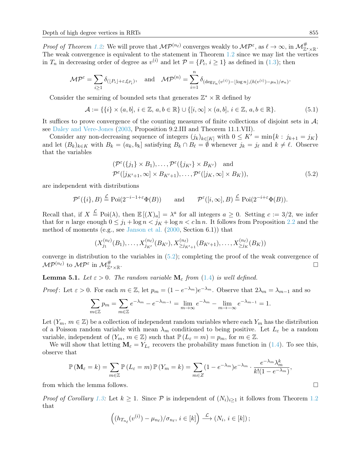Proof of Theorem [1.2:](#page-3-0) We will prove that  $\mathcal{MP}^{(n_\ell)}$  converges weakly to  $\mathcal{MP}^\varepsilon$ , as  $\ell \to \infty$ , in  $\mathcal{M}_{\mathbb{Z}^*\times\mathbb{R}}^{\#}$ . The weak convergence is equivalent to the statement in Theorem [1.2](#page-3-0) since we may list the vertices in  $T_n$  in decreasing order of degree as  $v^{(i)}$  and let  $\mathcal{P} = \{P_i, i \geq 1\}$  as defined in [\(1.3\)](#page-2-1); then

$$
\mathcal{MP}^{\varepsilon} = \sum_{i \geq 1} \delta_{\left(\lfloor P_i \rfloor + \varepsilon, \xi_{P_i}\right)}, \quad \text{and} \quad \mathcal{MP}^{(n)} = \sum_{i=1}^{n} \delta_{\left(\deg_{T_n}(v^{(i)}) - \lfloor \log n \rfloor, (h(v^{(i)}) - \mu_n)/\sigma_n\right)}.
$$

Consider the semiring of bounded sets that generates  $\mathbb{Z}^* \times \mathbb{R}$  defined by

$$
\mathcal{A} := \{ \{i\} \times (a, b], i \in \mathbb{Z}, a, b \in \mathbb{R} \} \cup \{ [i, \infty] \times (a, b], i \in \mathbb{Z}, a, b \in \mathbb{R} \}.
$$
 (5.1)

It suffices to prove convergence of the counting measures of finite collections of disjoint sets in  $\mathcal{A}$ ; see [Daley and Vere-Jones](#page-18-9) [\(2003,](#page-18-9) Proposition 9.2.III and Theorem 11.1.VII).

Consider any non-decreasing sequence of integers  $(j_k)_{k\in[K]}$  with  $0 \leq K' = \min\{k : j_{k+1} = j_K\}$ and let  $(B_k)_{k\in K}$  with  $B_k = (a_k, b_k]$  satisfying  $B_k \cap B_\ell = \emptyset$  whenever  $j_k = j_\ell$  and  $k \neq \ell$ . Observe that the variables

<span id="page-16-1"></span>
$$
(\mathcal{P}^{\varepsilon}(\{j_1\} \times B_1), \dots, \mathcal{P}^{\varepsilon}(\{j_{K'}\} \times B_{K'}) \text{ and}
$$
  

$$
\mathcal{P}^{\varepsilon}([j_{K'+1}, \infty] \times B_{K'+1}), \dots, \mathcal{P}^{\varepsilon}([j_K, \infty] \times B_K)),
$$
 (5.2)

are independent with distributions

$$
\mathcal{P}^{\varepsilon}(\{i\},B) \stackrel{\mathcal{L}}{=} \text{Poi}(2^{-i-1+\varepsilon}\Phi(B)) \quad \text{and} \quad \mathcal{P}^{\varepsilon}([i,\infty],B) \stackrel{\mathcal{L}}{=} \text{Poi}(2^{-i+\varepsilon}\Phi(B)).
$$

Recall that, if  $X \stackrel{\mathcal{L}}{=} \mathrm{Poi}(\lambda)$ , then  $\mathbb{E}[(X)_a] = \lambda^a$  for all integers  $a \geq 0$ . Setting  $c := 3/2$ , we infer that for n large enough  $0 \leq j_1 + \log n < j_K + \log n < c \ln n$ . It follows from Proposition [2.2](#page-4-0) and the method of moments (e.g., see [Janson et al.](#page-18-13) [\(2000,](#page-18-13) Section 6.1)) that

$$
(X_{j_1}^{(n_\ell)}(B_1),\ldots,X_{j_{K'}}^{(n_\ell)}(B_{K'}),X_{\geq j_{K'+1}}^{(n_\ell)}(B_{K'+1}),\ldots,X_{\geq j_K}^{(n_\ell)}(B_K))
$$

converge in distribution to the variables in [\(5.2\)](#page-16-1); completing the proof of the weak convergence of  $\mathcal{MP}^{(n_\ell)}$  to  $\mathcal{MP}^\varepsilon$  in  $\mathcal{M}^\#_{\mathbb{Z}^*\times\mathbb{R}}$ . В последните последните последните последните последните последните последните последните последните последн<br>В 1990 година от селото на селото на селото на селото на селото на селото на селото на селото на селото на сел

<span id="page-16-0"></span>**Lemma 5.1.** Let  $\varepsilon > 0$ . The random variable  $\mathbf{M}_{\varepsilon}$  from [\(1.4\)](#page-3-4) is well defined.

*Proof*: Let  $\varepsilon > 0$ . For each  $m \in \mathbb{Z}$ , let  $p_m = (1 - e^{-\lambda_m})e^{-\lambda_m}$ . Observe that  $2\lambda_m = \lambda_{m-1}$  and so

$$
\sum_{m\in\mathbb{Z}}p_m=\sum_{m\in\mathbb{Z}}e^{-\lambda_m}-e^{-\lambda_{m-1}}=\lim_{m\to\infty}e^{-\lambda_m}-\lim_{m\to-\infty}e^{-\lambda_{m-1}}=1.
$$

Let  $(Y_m, m \in \mathbb{Z})$  be a collection of independent random variables where each  $Y_m$  has the distribution of a Poisson random variable with mean  $\lambda_m$  conditioned to being positive. Let  $L_{\varepsilon}$  be a random variable, independent of  $(Y_m, m \in \mathbb{Z})$  such that  $\mathbb{P}(L_{\varepsilon} = m) = p_m$ , for  $m \in \mathbb{Z}$ .

We will show that letting  $\mathbf{M}_{\varepsilon} = Y_{L_{\varepsilon}}$  recovers the probability mass function in [\(1.4\)](#page-3-4). To see this, observe that

$$
\mathbb{P}\left(\mathbf{M}_{\varepsilon}=k\right)=\sum_{m\in\mathbb{Z}}\mathbb{P}\left(L_{\varepsilon}=m\right)\mathbb{P}\left(Y_{m}=k\right)=\sum_{m\in Z}(1-e^{-\lambda_{m}})e^{-\lambda_{m}}\cdot\frac{e^{-\lambda_{m}}\lambda_{m}^{k}}{k!(1-e^{-\lambda_{m}})},
$$

from which the lemma follows.

*Proof of Corollary [1.3:](#page-3-1)* Let  $k \geq 1$ . Since P is independent of  $(N_i)_{i\geq 1}$  it follows from Theorem [1.2](#page-3-0) that

$$
((h_{T_{n_{\ell}}}(v^{(i)}) - \mu_{n_{\ell}})/\sigma_{n_{\ell}}, i \in [k]) \xrightarrow{\mathcal{L}} (N_i, i \in [k]);
$$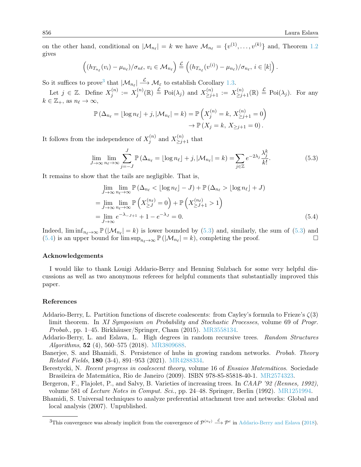on the other hand, conditional on  $|\mathcal{M}_{n_\ell}| = k$  we have  $\mathcal{M}_{n_\ell} = \{v^{(1)}, \ldots, v^{(k)}\}$  and, Theorem [1.2](#page-3-0) gives

$$
((h_{T_{n_{\ell}}}(v_{i})-\mu_{n_{\ell}})/\sigma_{n\ell}, v_{i}\in M_{n_{\ell}})\stackrel{\mathcal{L}}{=} ((h_{T_{n_{\ell}}}(v^{(i)})-\mu_{n_{\ell}})/\sigma_{n_{\ell}}, i\in[k]).
$$

So it suffices to prove<sup>[3](#page-17-6)</sup> that  $|\mathcal{M}_{n_\ell}| \stackrel{\mathcal{L}}{\longrightarrow} \mathcal{M}_{\varepsilon}$  to establish Corollary [1.3.](#page-3-1)

Let  $j \in \mathbb{Z}$ . Define  $X_j^{(n)}$  $j^{(n)} := X_j^{(n)}$  $j^{(n)}(\mathbb{R}) \stackrel{\mathcal{L}}{=} \text{Poi}(\lambda_j)$  and  $X_{\geq j+1}^{(n)} := X_{\geq j+1}^{(n)}(\mathbb{R}) \stackrel{\mathcal{L}}{=} \text{Poi}(\lambda_j)$ . For any  $k \in \mathbb{Z}_+,$  as  $n_\ell \to \infty,$ 

$$
\mathbb{P}\left(\Delta_{n_{\ell}} = \lfloor \log n_{\ell} \rfloor + j, |\mathcal{M}_{n_{\ell}}| = k\right) = \mathbb{P}\left(X_j^{(n)} = k, X_{\geq j+1}^{(n)} = 0\right) \\
\to \mathbb{P}\left(X_j = k, X_{\geq j+1} = 0\right).
$$

It follows from the independence of  $X_i^{(n)}$  $j^{(n)}$  and  $X^{(n)}_{\geq j+1}$  that

$$
\lim_{J \to \infty} \lim_{n_{\ell} \to \infty} \sum_{j=-J}^{J} \mathbb{P}\left(\Delta_{n_{\ell}} = \lfloor \log n_{\ell} \rfloor + j, |\mathcal{M}_{n_{\ell}}| = k\right) = \sum_{j \in \mathbb{Z}} e^{-2\lambda_j} \frac{\lambda_j^k}{k!}.
$$
\n(5.3)

It remains to show that the tails are negligible. That is,

<span id="page-17-8"></span><span id="page-17-7"></span>
$$
\lim_{J \to \infty} \lim_{n_{\ell} \to \infty} \mathbb{P}\left(\Delta_{n_{\ell}} < \lfloor \log n_{\ell} \rfloor - J\right) + \mathbb{P}\left(\Delta_{n_{\ell}} > \lfloor \log n_{\ell} \rfloor + J\right)
$$
\n
$$
= \lim_{J \to \infty} \lim_{n_{\ell} \to \infty} \mathbb{P}\left(X_{\geq J}^{(n_{\ell})} = 0\right) + \mathbb{P}\left(X_{\geq J+1}^{(n_{\ell})} > 1\right)
$$
\n
$$
= \lim_{J \to \infty} e^{-\lambda_{-J+1}} + 1 - e^{-\lambda_{J}} = 0. \tag{5.4}
$$

Indeed,  $\liminf_{n_\ell \to \infty} \mathbb{P}(|\mathcal{M}_{n_\ell}| = k)$  is lower bounded by [\(5.3\)](#page-17-7) and, similarly, the sum of (5.3) and [\(5.4\)](#page-17-8) is an upper bound for  $\limsup_{n_\ell \to \infty} \mathbb{P}(|\mathcal{M}_{n_\ell}| = k)$ , completing the proof.

## Acknowledgements

I would like to thank Louigi Addario-Berry and Henning Sulzbach for some very helpful discussions as well as two anonymous referees for helpful comments that substantially improved this paper.

### References

- <span id="page-17-4"></span>Addario-Berry, L. Partition functions of discrete coalescents: from Cayley's formula to Frieze's  $\zeta(3)$ limit theorem. In XI Symposium on Probability and Stochastic Processes, volume 69 of Progr. Probab., pp. 1–45. Birkhäuser/Springer, Cham (2015). [MR3558134.](http://www.ams.org/mathscinet-getitem?mr=MR3558134)
- <span id="page-17-2"></span>Addario-Berry, L. and Eslava, L. High degrees in random recursive trees. Random Structures Algorithms, 52 (4), 560–575 (2018). [MR3809688.](http://www.ams.org/mathscinet-getitem?mr=MR3809688)
- <span id="page-17-3"></span>Banerjee, S. and Bhamidi, S. Persistence of hubs in growing random networks. *Probab. Theory* Related Fields, 180 (3-4), 891–953 (2021). [MR4288334.](http://www.ams.org/mathscinet-getitem?mr=MR4288334)
- <span id="page-17-5"></span>Berestycki, N. Recent progress in coalescent theory, volume 16 of Ensaios Matemáticos. Sociedade Brasileira de Matemática, Rio de Janeiro (2009). ISBN 978-85-85818-40-1. [MR2574323.](http://www.ams.org/mathscinet-getitem?mr=MR2574323)
- <span id="page-17-0"></span>Bergeron, F., Flajolet, P., and Salvy, B. Varieties of increasing trees. In CAAP '92 (Rennes, 1992), volume 581 of Lecture Notes in Comput. Sci., pp. 24–48. Springer, Berlin (1992). [MR1251994.](http://www.ams.org/mathscinet-getitem?mr=MR1251994)
- <span id="page-17-1"></span>Bhamidi, S. Universal techniques to analyze preferential attachment tree and networks: Global and local analysis (2007). Unpublished.

<span id="page-17-6"></span><sup>&</sup>lt;sup>3</sup>This convergence was already implicit from the convergence of  $\mathcal{P}^{(n_\ell)} \stackrel{\mathcal{L}}{\longrightarrow} \mathcal{P}^{\varepsilon}$  in [Addario-Berry and Eslava](#page-17-2) [\(2018\)](#page-17-2).